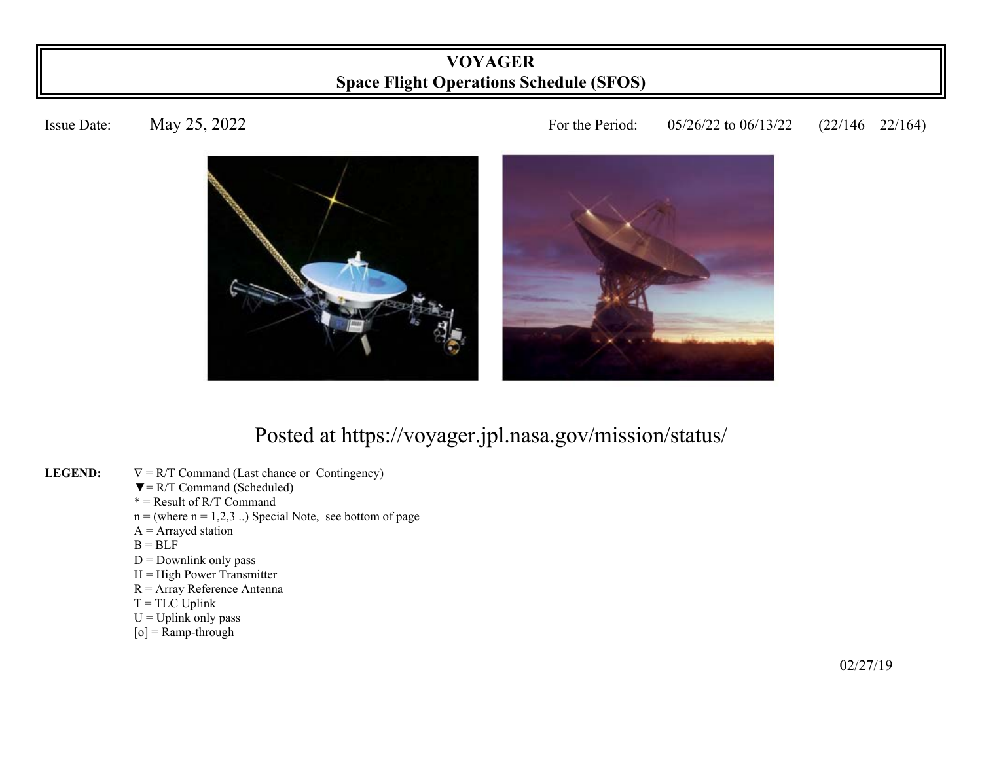## **VOYAGER Space Flight Operations Schedule (SFOS)**

## Issue Date: May 25, 2022 16 1 For the Period: 05/26/22 to 06/13/22 (22/146 – 22/164)



## Posted at https://voyager.jpl.nasa.gov/mission/status/

- **LEGEND:**   $\nabla = R/T$  Command (Last chance or Contingency)
	- $\nabla = R/T$  Command (Scheduled)
- $* =$ Result of R/T Command
	- $n =$  (where  $n = 1,2,3$ ...) Special Note, see bottom of page
	- $A =$  Arrayed station
- $B = BLF$ 
	- $D =$  Downlink only pass
	- $H = High Power Transmitter$
	- R = Array Reference Antenna
	- $T = TLC$  Uplink
	- $U = U$ plink only pass
	- $[o]$  = Ramp-through

 $\frac{02}{27/19}$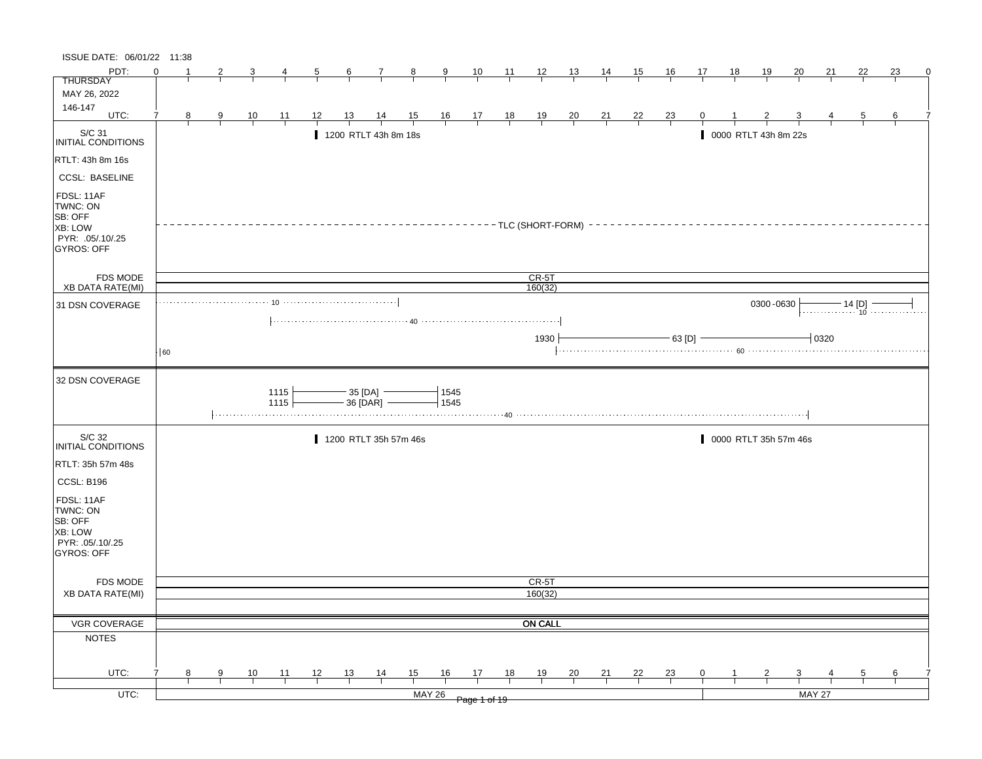| ISSUE DATE: 06/01/22 11:38                                                            |          |   |                |                |                                                                            |    |                 |                         |                |              |                                                                      |                |                      |                |                |                |                |              |    |                       |                         |          |                |    |          |
|---------------------------------------------------------------------------------------|----------|---|----------------|----------------|----------------------------------------------------------------------------|----|-----------------|-------------------------|----------------|--------------|----------------------------------------------------------------------|----------------|----------------------|----------------|----------------|----------------|----------------|--------------|----|-----------------------|-------------------------|----------|----------------|----|----------|
| PDT:                                                                                  | $\Omega$ |   |                | 3              | 4                                                                          | 5  | $6\overline{6}$ | $\mathcal{I}$           | 8              | 9            | 10                                                                   | $\frac{11}{2}$ | $\frac{12}{ }$       | $\frac{13}{2}$ | <u>14</u>      | <u>15</u>      | <u>16</u>      | 17           | 18 | 19                    | 20                      | 21       | 22             | 23 | $\Omega$ |
| <b>THURSDAY</b>                                                                       |          |   |                |                |                                                                            |    |                 |                         |                |              |                                                                      |                |                      |                |                |                |                |              |    |                       |                         |          |                |    |          |
| MAY 26, 2022                                                                          |          |   |                |                |                                                                            |    |                 |                         |                |              |                                                                      |                |                      |                |                |                |                |              |    |                       |                         |          |                |    |          |
| 146-147<br>UTC:                                                                       | 7        |   |                |                |                                                                            |    |                 |                         |                |              |                                                                      |                |                      |                |                |                |                |              |    |                       |                         |          |                |    |          |
|                                                                                       |          | 8 | $\overline{9}$ | $\frac{10}{1}$ | $\overline{11}$                                                            | 12 | 13              | $\frac{14}{1}$          | $\frac{15}{1}$ |              | $\begin{array}{c cc} 16 & 17 & 18 \\ \hline &   &   &   \end{array}$ |                | $\frac{19}{1}$       | $\frac{20}{1}$ | $\frac{21}{1}$ | $\frac{22}{1}$ | $\frac{23}{1}$ | 0            |    |                       |                         |          | $\overline{5}$ | 6  |          |
| S/C 31<br>INITIAL CONDITIONS                                                          |          |   |                |                |                                                                            |    |                 | 1200 RTLT 43h 8m 18s    |                |              |                                                                      |                |                      |                |                |                |                |              |    | 0000 RTLT 43h 8m 22s  |                         |          |                |    |          |
| RTLT: 43h 8m 16s                                                                      |          |   |                |                |                                                                            |    |                 |                         |                |              |                                                                      |                |                      |                |                |                |                |              |    |                       |                         |          |                |    |          |
| <b>CCSL: BASELINE</b>                                                                 |          |   |                |                |                                                                            |    |                 |                         |                |              |                                                                      |                |                      |                |                |                |                |              |    |                       |                         |          |                |    |          |
| FDSL: 11AF<br>TWNC: ON<br>SB: OFF<br>XB: LOW<br>PYR: .05/.10/.25<br><b>GYROS: OFF</b> |          |   |                |                |                                                                            |    |                 |                         |                |              |                                                                      |                | - TLC (SHORT-FORM) - |                |                |                |                |              |    |                       |                         |          |                |    |          |
| <b>FDS MODE</b>                                                                       |          |   |                |                |                                                                            |    |                 |                         |                |              |                                                                      |                | $CR-5T$              |                |                |                |                |              |    |                       |                         |          |                |    |          |
| XB DATA RATE(MI)                                                                      |          |   |                |                |                                                                            |    |                 |                         |                |              |                                                                      |                | 160(32)              |                |                |                |                |              |    |                       |                         |          |                |    |          |
| 31 DSN COVERAGE                                                                       |          |   |                |                | $10 \cdots \cdots \cdots \cdots \cdots \cdots \cdots \cdots \cdots \cdots$ |    |                 |                         |                |              |                                                                      |                |                      |                |                |                |                |              |    | 0300-0630             |                         |          |                |    |          |
|                                                                                       |          |   |                |                |                                                                            |    |                 |                         |                |              |                                                                      |                |                      |                |                |                |                |              |    |                       |                         |          |                |    |          |
|                                                                                       |          |   |                |                |                                                                            |    |                 |                         |                |              |                                                                      |                | 1930                 |                |                |                | - 63 [D] -     |              |    |                       |                         | $-10320$ |                |    |          |
|                                                                                       | 60       |   |                |                |                                                                            |    |                 |                         |                |              |                                                                      |                |                      |                |                |                |                |              |    |                       |                         |          |                |    |          |
| 32 DSN COVERAGE                                                                       |          |   |                |                |                                                                            |    |                 |                         |                |              |                                                                      |                |                      |                |                |                |                |              |    |                       |                         |          |                |    |          |
|                                                                                       |          |   |                |                | 1115<br>1115                                                               |    |                 | - 35 [DA]<br>- 36 [DAR] |                | 1545<br>1545 |                                                                      |                |                      |                |                |                |                |              |    |                       |                         |          |                |    |          |
| S/C 32<br>INITIAL CONDITIONS                                                          |          |   |                |                |                                                                            |    |                 | 1200 RTLT 35h 57m 46s   |                |              |                                                                      |                |                      |                |                |                |                |              |    | 0000 RTLT 35h 57m 46s |                         |          |                |    |          |
| RTLT: 35h 57m 48s                                                                     |          |   |                |                |                                                                            |    |                 |                         |                |              |                                                                      |                |                      |                |                |                |                |              |    |                       |                         |          |                |    |          |
| CCSL: B196                                                                            |          |   |                |                |                                                                            |    |                 |                         |                |              |                                                                      |                |                      |                |                |                |                |              |    |                       |                         |          |                |    |          |
| FDSL: 11AF<br>TWNC: ON<br>SB: OFF<br>XB: LOW<br>PYR: .05/.10/.25<br>GYROS: OFF        |          |   |                |                |                                                                            |    |                 |                         |                |              |                                                                      |                |                      |                |                |                |                |              |    |                       |                         |          |                |    |          |
| FDS MODE                                                                              |          |   |                |                |                                                                            |    |                 |                         |                |              |                                                                      |                | CR-5T                |                |                |                |                |              |    |                       |                         |          |                |    |          |
| <b>XB DATA RATE(MI)</b>                                                               |          |   |                |                |                                                                            |    |                 |                         |                |              |                                                                      |                | 160(32)              |                |                |                |                |              |    |                       |                         |          |                |    |          |
|                                                                                       |          |   |                |                |                                                                            |    |                 |                         |                |              |                                                                      |                |                      |                |                |                |                |              |    |                       |                         |          |                |    |          |
| VGR COVERAGE                                                                          |          |   |                |                |                                                                            |    |                 |                         |                |              |                                                                      |                | <b>ON CALL</b>       |                |                |                |                |              |    |                       |                         |          |                |    |          |
| <b>NOTES</b>                                                                          |          |   |                |                |                                                                            |    |                 |                         |                |              |                                                                      |                |                      |                |                |                |                |              |    |                       |                         |          |                |    |          |
|                                                                                       |          |   |                |                |                                                                            |    |                 |                         |                |              |                                                                      |                |                      |                |                |                |                |              |    |                       |                         |          |                |    |          |
| UTC:                                                                                  | 7        | 8 | 9              | 10             | $-11$                                                                      | 12 | 13              | $\frac{14}{1}$          | 15             | 16           | 17                                                                   | 18             | 19                   | $\frac{20}{1}$ | 21             | 22             | $\frac{23}{1}$ | $\mathbf{0}$ | -1 | $\overline{2}$        | $\overline{\mathbf{3}}$ |          | 5              | 6  |          |
|                                                                                       |          |   |                |                |                                                                            |    |                 |                         |                |              |                                                                      |                |                      |                |                |                |                |              |    |                       |                         |          |                |    |          |
| $UTC$ :                                                                               |          |   |                |                |                                                                            |    |                 |                         | <b>MAY 26</b>  |              | Page 1 of 19                                                         |                |                      |                |                |                |                |              |    |                       | <b>MAY 27</b>           |          |                |    |          |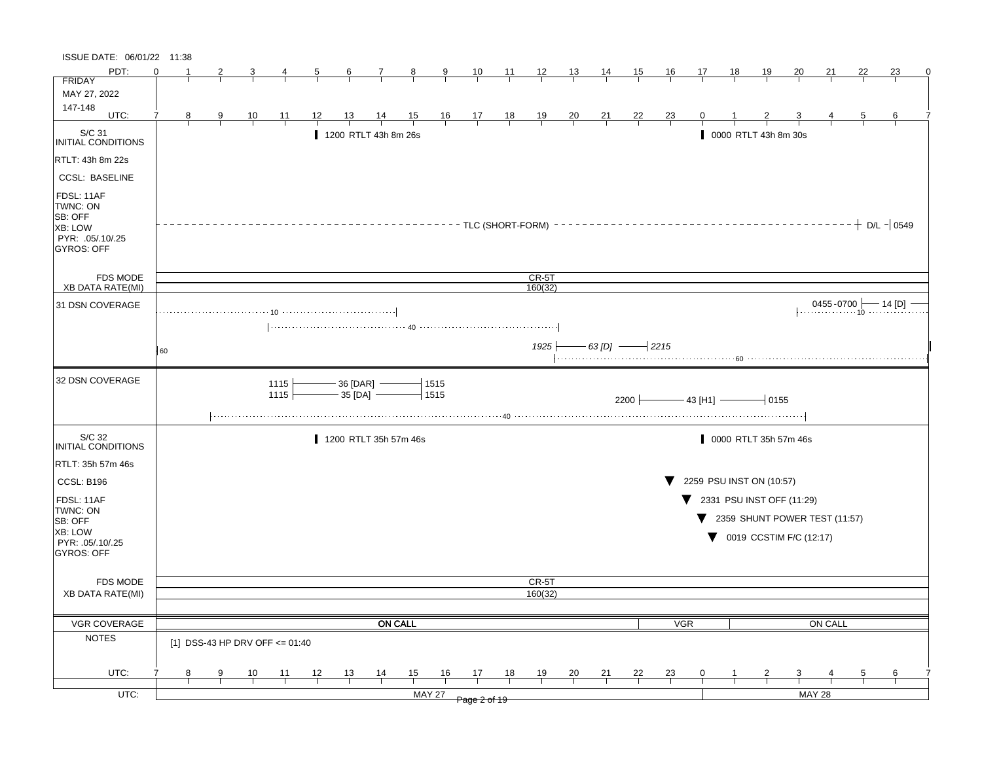| ISSUE DATE: 06/01/22 11:38                                                            |    |   |   |    |                                |    |    |                              |                |                              |                                                      |                |                |                |                    |           |                |                 |    |                                                |           |                          |    |                   |   |
|---------------------------------------------------------------------------------------|----|---|---|----|--------------------------------|----|----|------------------------------|----------------|------------------------------|------------------------------------------------------|----------------|----------------|----------------|--------------------|-----------|----------------|-----------------|----|------------------------------------------------|-----------|--------------------------|----|-------------------|---|
| PDT:                                                                                  | ∩  |   | 2 |    |                                | 5  | 6  |                              | 8              | 9                            | 10                                                   | 11             | $\frac{12}{ }$ | <u>13</u>      | 14                 | <u>15</u> | 16             | 17              | 18 | <u>19</u>                                      | <u>20</u> | 21                       | 22 | 23                | 0 |
| <b>FRIDAY</b>                                                                         |    |   |   |    |                                |    |    |                              |                |                              |                                                      |                |                |                |                    |           |                |                 |    |                                                |           |                          |    |                   |   |
| MAY 27, 2022                                                                          |    |   |   |    |                                |    |    |                              |                |                              |                                                      |                |                |                |                    |           |                |                 |    |                                                |           |                          |    |                   |   |
| 147-148<br>UTC:                                                                       | 7  | 8 | 9 | 10 | 11                             | 12 | 13 | 14                           | $\frac{15}{1}$ |                              |                                                      |                |                |                |                    | <u>22</u> |                |                 |    |                                                |           |                          | 5  | 6                 |   |
|                                                                                       |    |   |   |    |                                |    |    |                              |                |                              | $\begin{array}{c c}\n16 & 17 \\ \hline\n\end{array}$ | $\frac{18}{1}$ | $\frac{19}{1}$ | $\frac{20}{1}$ | $\frac{21}{1}$     |           | $\frac{23}{ }$ |                 |    |                                                |           |                          |    |                   |   |
| S/C 31<br>INITIAL CONDITIONS                                                          |    |   |   |    |                                |    |    | 1200 RTLT 43h 8m 26s         |                |                              |                                                      |                |                |                |                    |           |                |                 |    | 0000 RTLT 43h 8m 30s                           |           |                          |    |                   |   |
| RTLT: 43h 8m 22s                                                                      |    |   |   |    |                                |    |    |                              |                |                              |                                                      |                |                |                |                    |           |                |                 |    |                                                |           |                          |    |                   |   |
| <b>CCSL: BASELINE</b>                                                                 |    |   |   |    |                                |    |    |                              |                |                              |                                                      |                |                |                |                    |           |                |                 |    |                                                |           |                          |    |                   |   |
| FDSL: 11AF<br>TWNC: ON<br>SB: OFF<br>XB: LOW<br>PYR: .05/.10/.25<br><b>GYROS: OFF</b> |    |   |   |    |                                |    |    |                              |                | ----- TLC (SHORT-FORM) ----- |                                                      |                |                |                |                    |           |                |                 |    |                                                |           |                          |    | $-+$ D/L $-$ 0549 |   |
| <b>FDS MODE</b>                                                                       |    |   |   |    |                                |    |    |                              |                |                              |                                                      |                | $CR-5T$        |                |                    |           |                |                 |    |                                                |           |                          |    |                   |   |
| <b>XB DATA RATE(MI)</b>                                                               |    |   |   |    |                                |    |    |                              |                |                              |                                                      |                | 160(32)        |                |                    |           |                |                 |    |                                                |           |                          |    |                   |   |
| 31 DSN COVERAGE                                                                       |    |   |   |    |                                |    |    |                              |                |                              |                                                      |                |                |                |                    |           |                |                 |    |                                                |           | $0455 - 0700$ $- 14$ [D] |    |                   |   |
|                                                                                       |    |   |   |    |                                |    |    |                              |                |                              |                                                      |                |                |                |                    |           |                |                 |    |                                                |           |                          |    |                   |   |
|                                                                                       |    |   |   |    |                                |    |    |                              |                |                              |                                                      |                |                |                |                    |           |                |                 |    |                                                |           |                          |    |                   |   |
|                                                                                       | 60 |   |   |    |                                |    |    |                              |                |                              |                                                      |                | 1925           |                | $-63$ [D] $-$ 2215 |           |                |                 |    |                                                |           |                          |    |                   |   |
| 32 DSN COVERAGE                                                                       |    |   |   |    | 1115<br>1115                   |    |    | 36 [DAR] -<br>$-35$ [DA] $-$ |                | 1515<br>1515                 |                                                      |                |                |                |                    | 2200      |                | $-$ 43 [H1] $-$ |    | $-0155$                                        |           |                          |    |                   |   |
| S/C 32<br><b>INITIAL CONDITIONS</b>                                                   |    |   |   |    |                                |    |    | 1200 RTLT 35h 57m 46s        |                |                              |                                                      |                |                |                |                    |           |                |                 |    | 0000 RTLT 35h 57m 46s                          |           |                          |    |                   |   |
| RTLT: 35h 57m 46s                                                                     |    |   |   |    |                                |    |    |                              |                |                              |                                                      |                |                |                |                    |           |                |                 |    |                                                |           |                          |    |                   |   |
| <b>CCSL: B196</b>                                                                     |    |   |   |    |                                |    |    |                              |                |                              |                                                      |                |                |                |                    |           |                |                 |    | 2259 PSU INST ON (10:57)                       |           |                          |    |                   |   |
| FDSL: 11AF                                                                            |    |   |   |    |                                |    |    |                              |                |                              |                                                      |                |                |                |                    |           |                |                 |    | $\blacktriangledown$ 2331 PSU INST OFF (11:29) |           |                          |    |                   |   |
| TWNC: ON                                                                              |    |   |   |    |                                |    |    |                              |                |                              |                                                      |                |                |                |                    |           |                | v               |    | 2359 SHUNT POWER TEST (11:57)                  |           |                          |    |                   |   |
| SB: OFF<br>XB: LOW                                                                    |    |   |   |    |                                |    |    |                              |                |                              |                                                      |                |                |                |                    |           |                |                 |    |                                                |           |                          |    |                   |   |
| PYR: .05/.10/.25                                                                      |    |   |   |    |                                |    |    |                              |                |                              |                                                      |                |                |                |                    |           |                |                 |    | 0019 CCSTIM F/C (12:17)                        |           |                          |    |                   |   |
| <b>GYROS: OFF</b>                                                                     |    |   |   |    |                                |    |    |                              |                |                              |                                                      |                |                |                |                    |           |                |                 |    |                                                |           |                          |    |                   |   |
|                                                                                       |    |   |   |    |                                |    |    |                              |                |                              |                                                      |                |                |                |                    |           |                |                 |    |                                                |           |                          |    |                   |   |
| <b>FDS MODE</b>                                                                       |    |   |   |    |                                |    |    |                              |                |                              |                                                      |                | CR-5T          |                |                    |           |                |                 |    |                                                |           |                          |    |                   |   |
| <b>XB DATA RATE(MI)</b>                                                               |    |   |   |    |                                |    |    |                              |                |                              |                                                      |                | 160(32)        |                |                    |           |                |                 |    |                                                |           |                          |    |                   |   |
|                                                                                       |    |   |   |    |                                |    |    |                              |                |                              |                                                      |                |                |                |                    |           |                |                 |    |                                                |           |                          |    |                   |   |
| VGR COVERAGE                                                                          |    |   |   |    |                                |    |    |                              | <b>ON CALL</b> |                              |                                                      |                |                |                |                    |           | VGR            |                 |    |                                                |           | ON CALL                  |    |                   |   |
| <b>NOTES</b>                                                                          |    |   |   |    | [1] DSS-43 HP DRV OFF <= 01:40 |    |    |                              |                |                              |                                                      |                |                |                |                    |           |                |                 |    |                                                |           |                          |    |                   |   |
| UTC:                                                                                  |    | 8 | 9 | 10 | 11                             | 12 | 13 | 14                           | 15             | 16                           | 17                                                   | 18             | 19             | 20             | <u>21</u>          | 22        | <u>23</u>      | 0               |    |                                                | 3         |                          | 5  | 6                 |   |
| $UTC$ :                                                                               |    |   |   |    |                                |    |    |                              |                | <b>MAY 27</b>                |                                                      |                |                |                |                    |           |                |                 |    |                                                |           | <b>MAY 28</b>            |    |                   |   |
|                                                                                       |    |   |   |    |                                |    |    |                              |                |                              | Page 2 of 19                                         |                |                |                |                    |           |                |                 |    |                                                |           |                          |    |                   |   |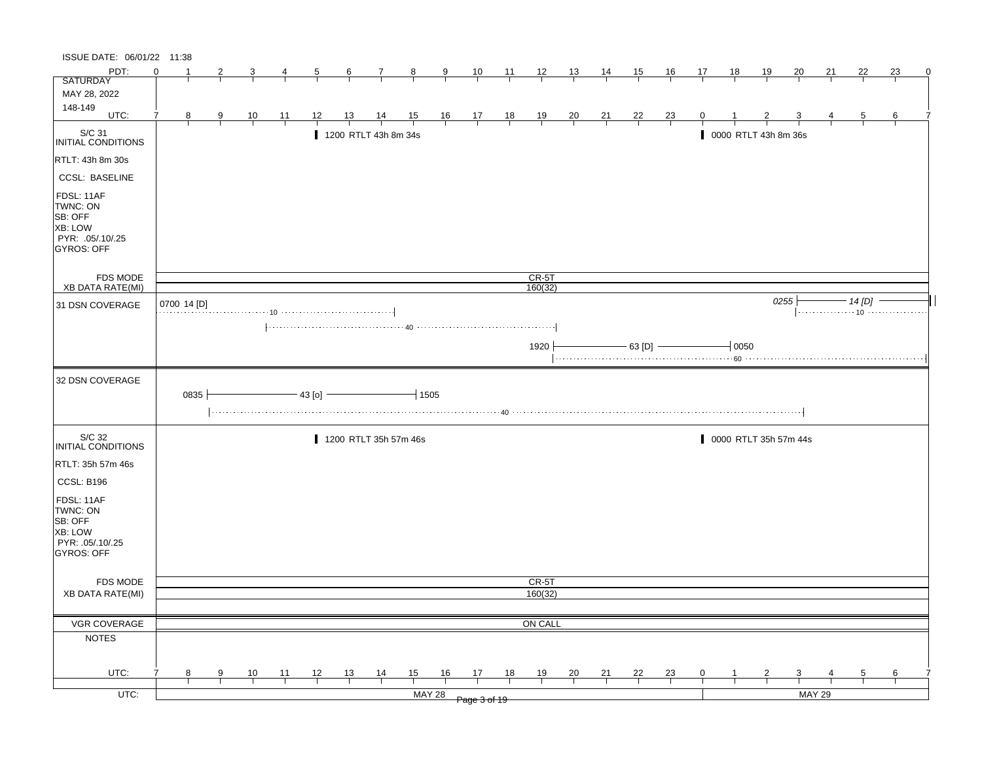| ISSUE DATE: 06/01/22 11:38                                                                   |          |             |   |                |                |                |           |                       |                |               |                                                                      |                |                    |                |                |                |                |              |       |                       |                         |    |                |    |   |
|----------------------------------------------------------------------------------------------|----------|-------------|---|----------------|----------------|----------------|-----------|-----------------------|----------------|---------------|----------------------------------------------------------------------|----------------|--------------------|----------------|----------------|----------------|----------------|--------------|-------|-----------------------|-------------------------|----|----------------|----|---|
| PDT:                                                                                         | $\Omega$ |             | 2 | 3              | 4              | 5              | 6         | 7                     | $_{\rm 8}$     | 9             | 10                                                                   | $\frac{11}{2}$ | 12                 | 13             | <u>14</u>      | <u>15</u>      | 16             | 17           | 18    | 19                    | 20                      | 21 | 22             | 23 | 0 |
| <b>SATURDAY</b>                                                                              |          |             |   |                |                |                |           |                       |                |               |                                                                      |                |                    |                |                |                |                |              |       |                       |                         |    |                |    |   |
| MAY 28, 2022                                                                                 |          |             |   |                |                |                |           |                       |                |               |                                                                      |                |                    |                |                |                |                |              |       |                       |                         |    |                |    |   |
| 148-149<br>UTC:                                                                              | 7        | 8           | 9 |                |                | 12             | <u>13</u> |                       |                |               |                                                                      |                |                    |                |                |                |                | 0            |       |                       |                         |    | $\overline{5}$ | 6  |   |
|                                                                                              |          |             |   | $\frac{10}{1}$ | $\frac{11}{1}$ |                |           | $\frac{14}{1}$        | $\frac{15}{1}$ |               | $\begin{array}{c cc} 16 & 17 & 18 \\ \hline &   &   &   \end{array}$ |                | $\frac{19}{1}$     | $\frac{20}{1}$ | $\frac{21}{1}$ | $\frac{22}{1}$ | $\frac{23}{1}$ |              |       |                       |                         |    |                |    |   |
| S/C 31<br>INITIAL CONDITIONS                                                                 |          |             |   |                |                |                |           | 1200 RTLT 43h 8m 34s  |                |               |                                                                      |                |                    |                |                |                |                |              |       | 0000 RTLT 43h 8m 36s  |                         |    |                |    |   |
| RTLT: 43h 8m 30s                                                                             |          |             |   |                |                |                |           |                       |                |               |                                                                      |                |                    |                |                |                |                |              |       |                       |                         |    |                |    |   |
| <b>CCSL: BASELINE</b>                                                                        |          |             |   |                |                |                |           |                       |                |               |                                                                      |                |                    |                |                |                |                |              |       |                       |                         |    |                |    |   |
| FDSL: 11AF<br>TWNC: ON<br>SB: OFF<br><b>XB: LOW</b><br>PYR: .05/.10/.25<br><b>GYROS: OFF</b> |          |             |   |                |                |                |           |                       |                |               |                                                                      |                |                    |                |                |                |                |              |       |                       |                         |    |                |    |   |
| <b>FDS MODE</b><br><b>XB DATA RATE(MI)</b>                                                   |          |             |   |                |                |                |           |                       |                |               |                                                                      |                | $CR-5T$<br>160(32) |                |                |                |                |              |       |                       |                         |    |                |    |   |
|                                                                                              |          |             |   |                |                |                |           |                       |                |               |                                                                      |                |                    |                |                |                |                |              |       |                       | 0255                    |    | - 14 [D]       |    |   |
| 31 DSN COVERAGE                                                                              |          | 0700 14 [D] |   |                |                |                |           |                       |                |               |                                                                      |                |                    |                |                |                |                |              |       |                       |                         |    |                |    |   |
|                                                                                              |          |             |   |                |                |                |           |                       |                |               |                                                                      |                |                    |                |                |                |                |              |       |                       |                         |    |                |    |   |
|                                                                                              |          |             |   |                |                |                |           |                       |                |               |                                                                      |                |                    |                |                |                |                |              |       |                       |                         |    |                |    |   |
|                                                                                              |          |             |   |                |                |                |           |                       |                |               |                                                                      |                | 1920               |                |                | $-$ 63 [D] $-$ |                |              | 10050 |                       |                         |    |                |    |   |
|                                                                                              |          |             |   |                |                |                |           |                       |                |               |                                                                      |                |                    |                |                |                |                |              |       |                       |                         |    |                |    |   |
| 32 DSN COVERAGE                                                                              |          | 0835        |   |                |                | $-$ 43 [o] $-$ |           |                       | $-1505$        |               |                                                                      |                |                    |                |                |                |                |              |       |                       |                         |    |                |    |   |
|                                                                                              |          |             |   |                |                |                |           |                       |                |               |                                                                      |                |                    |                |                |                |                |              |       |                       |                         |    |                |    |   |
| S/C 32<br>INITIAL CONDITIONS                                                                 |          |             |   |                |                |                |           | 1200 RTLT 35h 57m 46s |                |               |                                                                      |                |                    |                |                |                |                |              |       | 0000 RTLT 35h 57m 44s |                         |    |                |    |   |
| RTLT: 35h 57m 46s                                                                            |          |             |   |                |                |                |           |                       |                |               |                                                                      |                |                    |                |                |                |                |              |       |                       |                         |    |                |    |   |
| CCSL: B196                                                                                   |          |             |   |                |                |                |           |                       |                |               |                                                                      |                |                    |                |                |                |                |              |       |                       |                         |    |                |    |   |
| FDSL: 11AF<br>TWNC: ON<br>SB: OFF<br>XB: LOW<br>PYR: .05/.10/.25<br>GYROS: OFF               |          |             |   |                |                |                |           |                       |                |               |                                                                      |                |                    |                |                |                |                |              |       |                       |                         |    |                |    |   |
| FDS MODE                                                                                     |          |             |   |                |                |                |           |                       |                |               |                                                                      |                | CR-5T              |                |                |                |                |              |       |                       |                         |    |                |    |   |
| <b>XB DATA RATE(MI)</b>                                                                      |          |             |   |                |                |                |           |                       |                |               |                                                                      |                | 160(32)            |                |                |                |                |              |       |                       |                         |    |                |    |   |
|                                                                                              |          |             |   |                |                |                |           |                       |                |               |                                                                      |                |                    |                |                |                |                |              |       |                       |                         |    |                |    |   |
| VGR COVERAGE                                                                                 |          |             |   |                |                |                |           |                       |                |               |                                                                      |                | ON CALL            |                |                |                |                |              |       |                       |                         |    |                |    |   |
| <b>NOTES</b>                                                                                 |          |             |   |                |                |                |           |                       |                |               |                                                                      |                |                    |                |                |                |                |              |       |                       |                         |    |                |    |   |
|                                                                                              |          |             |   |                |                |                |           |                       |                |               |                                                                      |                |                    |                |                |                |                |              |       |                       |                         |    |                |    |   |
| UTC:                                                                                         |          | 8           | 9 | 10             | 11             | 12             | 13        | $\frac{14}{1}$        | 15             | 16            | 17                                                                   | 18             | 19                 | $\frac{20}{1}$ | $\frac{21}{1}$ | $^{22}$        | $\frac{23}{1}$ | $\mathbf{0}$ |       | 2                     | $\overline{\mathbf{3}}$ |    | 5              | 6  |   |
|                                                                                              |          |             |   |                |                |                |           |                       |                |               |                                                                      |                |                    |                |                |                |                |              |       |                       |                         |    |                |    |   |
| $UTC$ :                                                                                      |          |             |   |                |                |                |           |                       |                | <b>MAY 28</b> | Page 3 of 19                                                         |                |                    |                |                |                |                |              |       |                       | <b>MAY 29</b>           |    |                |    |   |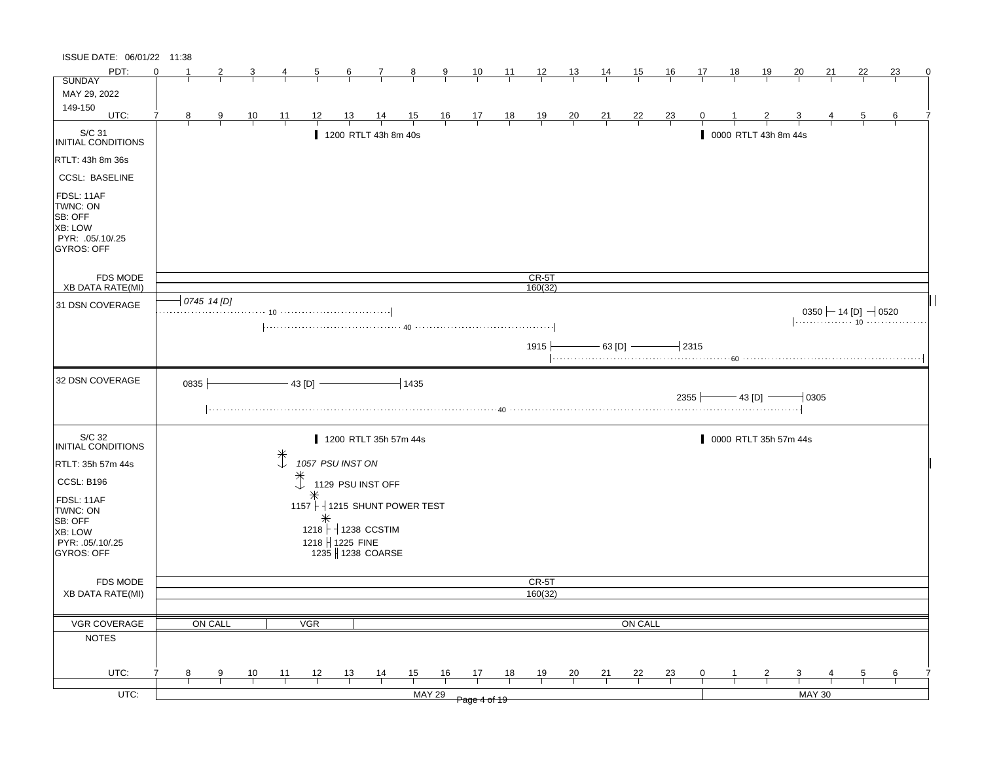| ISSUE DATE: 06/01/22 11:38                                                                   |          |             |   |           |                   |                  |    |                                     |                |               |                                                      |                |                |                |                |                |                |                      |    |                       |              |                                   |    |    |          |
|----------------------------------------------------------------------------------------------|----------|-------------|---|-----------|-------------------|------------------|----|-------------------------------------|----------------|---------------|------------------------------------------------------|----------------|----------------|----------------|----------------|----------------|----------------|----------------------|----|-----------------------|--------------|-----------------------------------|----|----|----------|
| PDT:                                                                                         | $\Omega$ |             | 2 | 3         | 4                 | 5                | 6  | 7                                   | 8              | 9             | 10                                                   | - 11           | 12             | <u>13</u>      | 14             | 15             | 16             | 17                   | 18 | 19                    | 20           | 21                                | 22 | 23 | $\Omega$ |
| <b>SUNDAY</b>                                                                                |          |             |   |           |                   |                  |    |                                     |                |               |                                                      |                |                |                |                |                |                |                      |    |                       |              |                                   |    |    |          |
| MAY 29, 2022                                                                                 |          |             |   |           |                   |                  |    |                                     |                |               |                                                      |                |                |                |                |                |                |                      |    |                       |              |                                   |    |    |          |
| 149-150<br>UTC:                                                                              |          |             |   |           |                   |                  |    |                                     |                |               |                                                      |                |                |                |                |                |                |                      |    |                       |              |                                   |    |    |          |
|                                                                                              | 8        |             | 9 | <u>10</u> | $\overline{11}$   | 12               | 13 | $\frac{14}{1}$                      | $\frac{15}{1}$ |               | $\begin{array}{c c}\n16 & 17 \\ \hline\n\end{array}$ | $\frac{18}{1}$ | $\frac{19}{1}$ | $\frac{20}{1}$ | $\frac{21}{1}$ | $\frac{22}{1}$ | $\frac{23}{1}$ | 0                    |    |                       |              |                                   | 5  | 6  |          |
| $\vert_{\mathsf{INITIAL~COMD} \vert \mathsf{TIONS}}$                                         |          |             |   |           |                   |                  |    | 1200 RTLT 43h 8m 40s                |                |               |                                                      |                |                |                |                |                |                |                      |    | 0000 RTLT 43h 8m 44s  |              |                                   |    |    |          |
| RTLT: 43h 8m 36s                                                                             |          |             |   |           |                   |                  |    |                                     |                |               |                                                      |                |                |                |                |                |                |                      |    |                       |              |                                   |    |    |          |
| <b>CCSL: BASELINE</b>                                                                        |          |             |   |           |                   |                  |    |                                     |                |               |                                                      |                |                |                |                |                |                |                      |    |                       |              |                                   |    |    |          |
| FDSL: 11AF<br>TWNC: ON<br>SB: OFF<br><b>XB: LOW</b><br>PYR: .05/.10/.25<br><b>GYROS: OFF</b> |          |             |   |           |                   |                  |    |                                     |                |               |                                                      |                |                |                |                |                |                |                      |    |                       |              |                                   |    |    |          |
| <b>FDS MODE</b>                                                                              |          |             |   |           |                   |                  |    |                                     |                |               |                                                      |                | $CR-5T$        |                |                |                |                |                      |    |                       |              |                                   |    |    |          |
| <b>XB DATA RATE(MI)</b>                                                                      |          | 0745 14 [D] |   |           |                   |                  |    |                                     |                |               |                                                      |                | 160(32)        |                |                |                |                |                      |    |                       |              |                                   |    |    |          |
| 31 DSN COVERAGE                                                                              |          |             |   |           |                   |                  |    |                                     |                |               |                                                      |                |                |                |                |                |                |                      |    |                       |              | $0350 \leftarrow 14$ [D] $-$ 0520 |    |    |          |
|                                                                                              |          |             |   |           |                   |                  |    |                                     |                |               |                                                      |                |                |                |                |                |                |                      |    |                       |              |                                   |    |    |          |
|                                                                                              |          |             |   |           |                   |                  |    |                                     |                |               |                                                      |                |                |                |                |                |                |                      |    |                       |              |                                   |    |    |          |
|                                                                                              |          |             |   |           |                   |                  |    |                                     |                |               |                                                      |                | 1915 ├         |                |                | $-$ 63 [D] $-$ |                | $\mathcal{a}_{2315}$ |    |                       |              |                                   |    |    |          |
|                                                                                              |          |             |   |           |                   |                  |    |                                     |                |               |                                                      |                |                |                |                |                |                |                      |    |                       |              |                                   |    |    |          |
| 32 DSN COVERAGE                                                                              |          | 0835        |   |           |                   | $-43$ [D] $-$    |    |                                     | $-1435$        |               |                                                      |                |                |                |                |                |                | $2355 +$             |    | $-43$ [D] $-$         |              | $-10305$                          |    |    |          |
|                                                                                              |          |             |   |           |                   |                  |    |                                     |                |               |                                                      |                |                |                |                |                |                |                      |    |                       |              |                                   |    |    |          |
| S/C 32<br>INITIAL CONDITIONS                                                                 |          |             |   |           |                   |                  |    | 1200 RTLT 35h 57m 44s               |                |               |                                                      |                |                |                |                |                |                |                      |    | 0000 RTLT 35h 57m 44s |              |                                   |    |    |          |
| RTLT: 35h 57m 44s                                                                            |          |             |   |           | $\ddot{\uparrow}$ | 1057 PSU INST ON |    |                                     |                |               |                                                      |                |                |                |                |                |                |                      |    |                       |              |                                   |    |    |          |
| CCSL: B196                                                                                   |          |             |   |           |                   | $\ddagger$       |    | 1129 PSU INST OFF                   |                |               |                                                      |                |                |                |                |                |                |                      |    |                       |              |                                   |    |    |          |
|                                                                                              |          |             |   |           |                   |                  |    |                                     |                |               |                                                      |                |                |                |                |                |                |                      |    |                       |              |                                   |    |    |          |
| FDSL: 11AF<br>TWNC: ON                                                                       |          |             |   |           |                   |                  |    | 1157 $\vdash$ 1215 SHUNT POWER TEST |                |               |                                                      |                |                |                |                |                |                |                      |    |                       |              |                                   |    |    |          |
| SB: OFF                                                                                      |          |             |   |           |                   |                  |    |                                     |                |               |                                                      |                |                |                |                |                |                |                      |    |                       |              |                                   |    |    |          |
| XB: LOW                                                                                      |          |             |   |           |                   |                  |    | 1218 + 1238 CCSTIM                  |                |               |                                                      |                |                |                |                |                |                |                      |    |                       |              |                                   |    |    |          |
| PYR: .05/.10/.25                                                                             |          |             |   |           |                   | 1218 H 1225 FINE |    |                                     |                |               |                                                      |                |                |                |                |                |                |                      |    |                       |              |                                   |    |    |          |
| GYROS: OFF                                                                                   |          |             |   |           |                   |                  |    | 1235   1238 COARSE                  |                |               |                                                      |                |                |                |                |                |                |                      |    |                       |              |                                   |    |    |          |
|                                                                                              |          |             |   |           |                   |                  |    |                                     |                |               |                                                      |                |                |                |                |                |                |                      |    |                       |              |                                   |    |    |          |
| FDS MODE                                                                                     |          |             |   |           |                   |                  |    |                                     |                |               |                                                      |                | CR-5T          |                |                |                |                |                      |    |                       |              |                                   |    |    |          |
| <b>XB DATA RATE(MI)</b>                                                                      |          |             |   |           |                   |                  |    |                                     |                |               |                                                      |                | 160(32)        |                |                |                |                |                      |    |                       |              |                                   |    |    |          |
|                                                                                              |          |             |   |           |                   |                  |    |                                     |                |               |                                                      |                |                |                |                |                |                |                      |    |                       |              |                                   |    |    |          |
| <b>VGR COVERAGE</b>                                                                          |          | ON CALL     |   |           |                   | <b>VGR</b>       |    |                                     |                |               |                                                      |                |                |                |                | ON CALL        |                |                      |    |                       |              |                                   |    |    |          |
| <b>NOTES</b>                                                                                 |          |             |   |           |                   |                  |    |                                     |                |               |                                                      |                |                |                |                |                |                |                      |    |                       |              |                                   |    |    |          |
|                                                                                              |          |             |   |           |                   |                  |    |                                     |                |               |                                                      |                |                |                |                |                |                |                      |    |                       |              |                                   |    |    |          |
|                                                                                              |          |             |   |           |                   |                  |    |                                     |                |               |                                                      |                |                |                |                |                |                |                      |    |                       |              |                                   |    |    |          |
| UTC:                                                                                         | 8        |             | 9 | 10        | 11                | 12               | 13 | $\frac{14}{1}$                      | 15             | 16            | 17                                                   | 18             | <u> 19</u>     | $\frac{20}{}$  | 21             | 22             | $\frac{23}{2}$ | 0                    |    | 2                     | $\mathbf{3}$ |                                   | 5  | 6  |          |
| UTC:                                                                                         |          |             |   |           |                   |                  |    |                                     |                | <b>MAY 29</b> | Page 4 of 19                                         |                |                |                |                |                |                |                      |    |                       |              | <b>MAY 30</b>                     |    |    |          |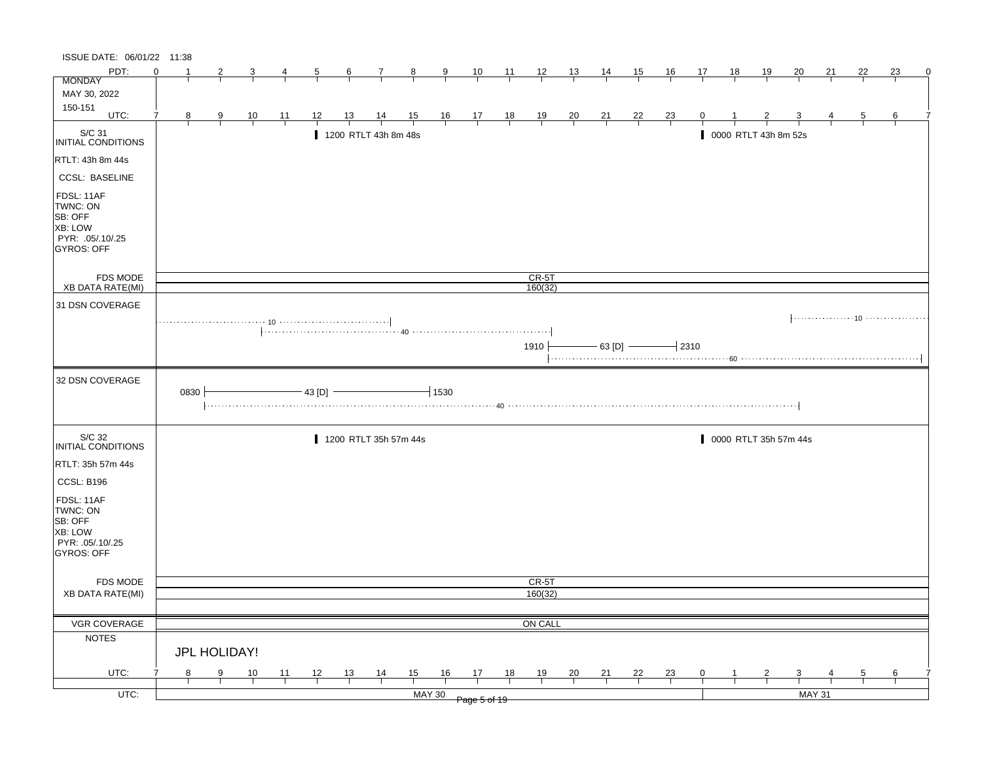| ISSUE DATE: 06/01/22 11:38                                                            |          |                |               |                |    |                |                 |                             |                |                |                                                                      |                |                |                |                |                |                |              |    |                       |                 |               |                |    |   |
|---------------------------------------------------------------------------------------|----------|----------------|---------------|----------------|----|----------------|-----------------|-----------------------------|----------------|----------------|----------------------------------------------------------------------|----------------|----------------|----------------|----------------|----------------|----------------|--------------|----|-----------------------|-----------------|---------------|----------------|----|---|
| PDT:                                                                                  | $\Omega$ | $\mathbf{1}$   | 2             | 3              | 4  | $\overline{5}$ | $6\overline{6}$ | $\mathcal{I}_{\mathcal{L}}$ | $\frac{8}{1}$  | $\overline{9}$ | $\frac{10}{1}$                                                       | $\frac{11}{2}$ | $\frac{12}{1}$ | 13             | <u>14</u>      | 15             | <u>16</u>      | 17           | 18 | <u>19</u>             | $\overline{20}$ | 21            | 22             | 23 | 0 |
| <b>MONDAY</b>                                                                         |          |                |               |                |    |                |                 |                             |                |                |                                                                      |                |                |                |                |                |                |              |    |                       |                 |               |                |    |   |
| MAY 30, 2022                                                                          |          |                |               |                |    |                |                 |                             |                |                |                                                                      |                |                |                |                |                |                |              |    |                       |                 |               |                |    |   |
| 150-151                                                                               |          |                |               |                |    |                |                 |                             |                |                |                                                                      |                |                |                |                |                |                |              |    |                       |                 |               |                |    |   |
| UTC:                                                                                  | 7        | 8 <sup>2</sup> | 9             | $\frac{10}{1}$ | 11 | 12             | 13              | $\frac{14}{1}$              | $\frac{15}{1}$ |                | $\begin{array}{c cc} 16 & 17 & 18 \\ \hline &   &   &   \end{array}$ |                | $\frac{19}{1}$ | $\frac{20}{1}$ | $\frac{21}{1}$ | $\frac{22}{1}$ | $\frac{23}{1}$ | $\mathbf{0}$ |    |                       |                 |               | $\overline{5}$ | 6  |   |
| S/C 31<br>INITIAL CONDITIONS                                                          |          |                |               |                |    |                |                 | 1200 RTLT 43h 8m 48s        |                |                |                                                                      |                |                |                |                |                |                |              |    | 0000 RTLT 43h 8m 52s  |                 |               |                |    |   |
| RTLT: 43h 8m 44s                                                                      |          |                |               |                |    |                |                 |                             |                |                |                                                                      |                |                |                |                |                |                |              |    |                       |                 |               |                |    |   |
| <b>CCSL: BASELINE</b>                                                                 |          |                |               |                |    |                |                 |                             |                |                |                                                                      |                |                |                |                |                |                |              |    |                       |                 |               |                |    |   |
| FDSL: 11AF<br>TWNC: ON<br>SB: OFF<br>XB: LOW<br>PYR: .05/.10/.25<br><b>GYROS: OFF</b> |          |                |               |                |    |                |                 |                             |                |                |                                                                      |                |                |                |                |                |                |              |    |                       |                 |               |                |    |   |
| FDS MODE                                                                              |          |                |               |                |    |                |                 |                             |                |                |                                                                      |                | $CR-5T$        |                |                |                |                |              |    |                       |                 |               |                |    |   |
| XB DATA RATE(MI)                                                                      |          |                |               |                |    |                |                 |                             |                |                |                                                                      |                | 160(32)        |                |                |                |                |              |    |                       |                 |               |                |    |   |
| 31 DSN COVERAGE                                                                       |          |                |               |                |    |                |                 |                             |                |                |                                                                      |                |                |                |                |                |                |              |    |                       |                 |               |                |    |   |
|                                                                                       |          |                |               |                |    |                |                 |                             |                |                |                                                                      |                | 1910           |                | $-$ 63 [D] $-$ |                |                | $-12310$     |    |                       |                 |               |                |    |   |
|                                                                                       |          |                |               |                |    |                |                 |                             |                |                |                                                                      |                |                |                |                |                |                |              |    |                       |                 |               |                |    |   |
| 32 DSN COVERAGE                                                                       |          | 0830           |               |                |    | 43 [D] -       |                 |                             |                | $-1530$        |                                                                      |                |                |                |                |                |                |              |    |                       |                 |               |                |    |   |
| S/C 32<br>INITIAL CONDITIONS                                                          |          |                |               |                |    |                |                 | 1200 RTLT 35h 57m 44s       |                |                |                                                                      |                |                |                |                |                |                |              |    | 0000 RTLT 35h 57m 44s |                 |               |                |    |   |
| RTLT: 35h 57m 44s                                                                     |          |                |               |                |    |                |                 |                             |                |                |                                                                      |                |                |                |                |                |                |              |    |                       |                 |               |                |    |   |
| CCSL: B196                                                                            |          |                |               |                |    |                |                 |                             |                |                |                                                                      |                |                |                |                |                |                |              |    |                       |                 |               |                |    |   |
| FDSL: 11AF<br>TWNC: ON<br>SB: OFF<br>XB: LOW<br>PYR: .05/.10/.25<br><b>GYROS: OFF</b> |          |                |               |                |    |                |                 |                             |                |                |                                                                      |                |                |                |                |                |                |              |    |                       |                 |               |                |    |   |
| FDS MODE                                                                              |          |                |               |                |    |                |                 |                             |                |                |                                                                      |                | CR-5T          |                |                |                |                |              |    |                       |                 |               |                |    |   |
| XB DATA RATE(MI)                                                                      |          |                |               |                |    |                |                 |                             |                |                |                                                                      |                | 160(32)        |                |                |                |                |              |    |                       |                 |               |                |    |   |
|                                                                                       |          |                |               |                |    |                |                 |                             |                |                |                                                                      |                |                |                |                |                |                |              |    |                       |                 |               |                |    |   |
| VGR COVERAGE                                                                          |          |                |               |                |    |                |                 |                             |                |                |                                                                      |                | ON CALL        |                |                |                |                |              |    |                       |                 |               |                |    |   |
| <b>NOTES</b>                                                                          |          |                |               |                |    |                |                 |                             |                |                |                                                                      |                |                |                |                |                |                |              |    |                       |                 |               |                |    |   |
|                                                                                       |          |                | JPL HOLIDAY!  |                |    |                |                 |                             |                |                |                                                                      |                |                |                |                |                |                |              |    |                       |                 |               |                |    |   |
| UTC:                                                                                  |          | 8              | $\frac{9}{1}$ | 10             | 11 | 12             | $\frac{13}{2}$  | $\frac{14}{1}$              | $\frac{15}{1}$ | 16             | 17                                                                   | 18             | 19             | $\frac{20}{ }$ | 21             | 22             | $\frac{23}{1}$ | 0            | -1 | $\overline{2}$        | $\overline{3}$  |               | 5              | 6  |   |
| $UTC$ :                                                                               |          |                |               |                |    |                |                 |                             |                | <b>MAY 30</b>  | Page 5 of 19                                                         |                |                |                |                |                |                |              |    |                       |                 | <b>MAY 31</b> |                |    |   |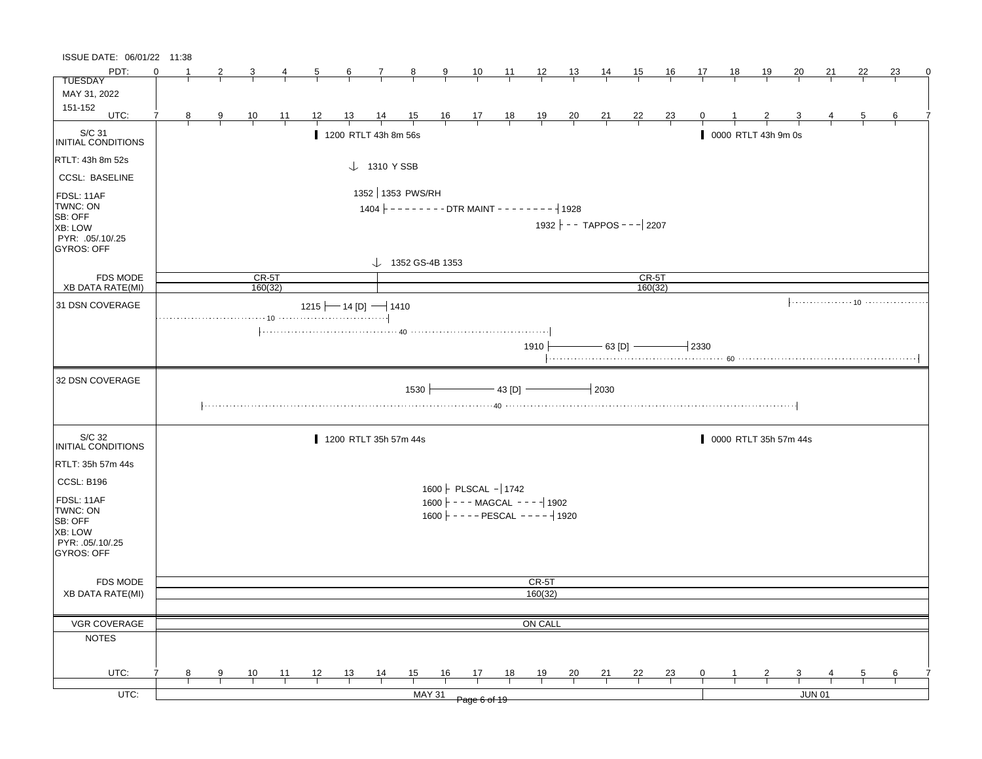| ISSUE DATE: 06/01/22 11:38   |          |                                |                |                |                                             |    |                                                              |      |                              |                                                |    |         |                                      |          |         |                     |                    |                     |                       |                 |    |                 |   |
|------------------------------|----------|--------------------------------|----------------|----------------|---------------------------------------------|----|--------------------------------------------------------------|------|------------------------------|------------------------------------------------|----|---------|--------------------------------------|----------|---------|---------------------|--------------------|---------------------|-----------------------|-----------------|----|-----------------|---|
| PDT:                         | $\Omega$ | $\overline{2}$                 | $\overline{3}$ | $\frac{4}{}$   | $\frac{5}{1}$                               |    | $\begin{array}{cccccc}\n6 & 7 & 8 \\ \hline\n\end{array}$    |      |                              | <u>9 10 11 12 13 14 15</u>                     |    |         |                                      |          |         | $\frac{16}{1}$      | $\frac{17}{16}$ 18 | $\frac{19}{2}$      | $\frac{20}{}$         | <u>21</u>       | 22 | 23              | 0 |
| <b>TUESDAY</b>               |          |                                |                |                |                                             |    |                                                              |      |                              |                                                |    |         |                                      |          |         |                     |                    |                     |                       |                 |    |                 |   |
| MAY 31, 2022                 |          |                                |                |                |                                             |    |                                                              |      |                              |                                                |    |         |                                      |          |         |                     |                    |                     |                       |                 |    |                 |   |
| 151-152                      |          |                                |                |                |                                             |    |                                                              |      |                              |                                                |    |         |                                      |          |         |                     |                    |                     |                       |                 |    |                 |   |
| UTC:                         | 7        | $\frac{8}{1}$<br>$\frac{9}{1}$ | $\frac{10}{1}$ | $\frac{11}{1}$ |                                             |    | 12 13 14 15 16 17 18 19 20 21 22 23 0 1                      |      |                              |                                                |    |         |                                      |          |         |                     |                    |                     | $\frac{3}{1}$         | $\frac{4}{1}$ 5 |    | $6\overline{6}$ |   |
| S/C 31<br>INITIAL CONDITIONS |          |                                |                |                |                                             |    | 1200 RTLT 43h 8m 56s                                         |      |                              |                                                |    |         |                                      |          |         |                     |                    | 0000 RTLT 43h 9m 0s |                       |                 |    |                 |   |
| RTLT: 43h 8m 52s             |          |                                |                |                |                                             |    |                                                              |      |                              |                                                |    |         |                                      |          |         |                     |                    |                     |                       |                 |    |                 |   |
| <b>CCSL: BASELINE</b>        |          |                                |                |                |                                             |    | $\downarrow$ 1310 Y SSB                                      |      |                              |                                                |    |         |                                      |          |         |                     |                    |                     |                       |                 |    |                 |   |
| FDSL: 11AF                   |          |                                |                |                |                                             |    | 1352   1353 PWS/RH                                           |      |                              |                                                |    |         |                                      |          |         |                     |                    |                     |                       |                 |    |                 |   |
| TWNC: ON                     |          |                                |                |                |                                             |    | $1404$ $\vdash$ - - - - - - - DTR MAINT - - - - - - -   1928 |      |                              |                                                |    |         |                                      |          |         |                     |                    |                     |                       |                 |    |                 |   |
| SB: OFF                      |          |                                |                |                |                                             |    |                                                              |      |                              |                                                |    |         |                                      |          |         |                     |                    |                     |                       |                 |    |                 |   |
| XB: LOW                      |          |                                |                |                |                                             |    |                                                              |      |                              |                                                |    |         | $1932$ $\vert$ - - TAPPOS - - - 2207 |          |         |                     |                    |                     |                       |                 |    |                 |   |
| PYR: .05/.10/.25             |          |                                |                |                |                                             |    |                                                              |      |                              |                                                |    |         |                                      |          |         |                     |                    |                     |                       |                 |    |                 |   |
| <b>GYROS: OFF</b>            |          |                                |                |                |                                             |    |                                                              |      |                              |                                                |    |         |                                      |          |         |                     |                    |                     |                       |                 |    |                 |   |
|                              |          |                                |                |                |                                             |    |                                                              |      | $\downarrow$ 1352 GS-4B 1353 |                                                |    |         |                                      |          |         |                     |                    |                     |                       |                 |    |                 |   |
| <b>FDS MODE</b>              |          |                                |                | $CR-5T$        |                                             |    |                                                              |      |                              |                                                |    |         |                                      |          | $CR-5T$ |                     |                    |                     |                       |                 |    |                 |   |
| XB DATA RATE(MI)             |          |                                |                | 160(32)        |                                             |    |                                                              |      |                              |                                                |    |         |                                      |          | 160(32) |                     |                    |                     |                       |                 |    |                 |   |
| 31 DSN COVERAGE              |          |                                |                |                | 1215 $\leftarrow$ 14 [D] $\rightarrow$ 1410 |    |                                                              |      |                              |                                                |    |         |                                      |          |         |                     |                    |                     |                       |                 |    |                 |   |
|                              |          |                                |                |                |                                             |    |                                                              |      |                              |                                                |    |         |                                      |          |         |                     |                    |                     |                       |                 |    |                 |   |
|                              |          |                                |                |                |                                             |    |                                                              |      |                              |                                                |    |         |                                      |          |         |                     |                    |                     |                       |                 |    |                 |   |
|                              |          |                                |                |                |                                             |    |                                                              |      |                              |                                                |    | 1910 ∱  |                                      |          |         | $-$ 63 [D] $-$ 2330 |                    |                     |                       |                 |    |                 |   |
|                              |          |                                |                |                |                                             |    |                                                              |      |                              |                                                |    |         |                                      |          |         |                     |                    |                     |                       |                 |    |                 |   |
|                              |          |                                |                |                |                                             |    |                                                              |      |                              |                                                |    |         |                                      |          |         |                     |                    |                     |                       |                 |    |                 |   |
| 32 DSN COVERAGE              |          |                                |                |                |                                             |    |                                                              |      |                              |                                                |    |         |                                      |          |         |                     |                    |                     |                       |                 |    |                 |   |
|                              |          |                                |                |                |                                             |    |                                                              | 1530 |                              | $-$ 43 [D] $-$                                 |    |         |                                      | $-12030$ |         |                     |                    |                     |                       |                 |    |                 |   |
|                              |          |                                |                |                |                                             |    |                                                              |      |                              |                                                |    |         |                                      |          |         |                     |                    |                     |                       |                 |    |                 |   |
|                              |          |                                |                |                |                                             |    |                                                              |      |                              |                                                |    |         |                                      |          |         |                     |                    |                     |                       |                 |    |                 |   |
|                              |          |                                |                |                |                                             |    |                                                              |      |                              |                                                |    |         |                                      |          |         |                     |                    |                     |                       |                 |    |                 |   |
| S/C 32<br>INITIAL CONDITIONS |          |                                |                |                |                                             |    | 1200 RTLT 35h 57m 44s                                        |      |                              |                                                |    |         |                                      |          |         |                     |                    |                     | 0000 RTLT 35h 57m 44s |                 |    |                 |   |
|                              |          |                                |                |                |                                             |    |                                                              |      |                              |                                                |    |         |                                      |          |         |                     |                    |                     |                       |                 |    |                 |   |
| RTLT: 35h 57m 44s            |          |                                |                |                |                                             |    |                                                              |      |                              |                                                |    |         |                                      |          |         |                     |                    |                     |                       |                 |    |                 |   |
| CCSL: B196                   |          |                                |                |                |                                             |    |                                                              |      |                              |                                                |    |         |                                      |          |         |                     |                    |                     |                       |                 |    |                 |   |
|                              |          |                                |                |                |                                             |    |                                                              |      |                              | $1600$   PLSCAL - 1742                         |    |         |                                      |          |         |                     |                    |                     |                       |                 |    |                 |   |
| FDSL: 11AF                   |          |                                |                |                |                                             |    |                                                              |      |                              | $1600$ $\vert$ - - - MAGCAL - - - $\vert$ 1902 |    |         |                                      |          |         |                     |                    |                     |                       |                 |    |                 |   |
| TWNC: ON                     |          |                                |                |                |                                             |    |                                                              |      |                              | $1600$ - - - - - PESCAL - - - - $-$ 1920       |    |         |                                      |          |         |                     |                    |                     |                       |                 |    |                 |   |
| SB: OFF                      |          |                                |                |                |                                             |    |                                                              |      |                              |                                                |    |         |                                      |          |         |                     |                    |                     |                       |                 |    |                 |   |
| XB: LOW<br>PYR: 05/10/25     |          |                                |                |                |                                             |    |                                                              |      |                              |                                                |    |         |                                      |          |         |                     |                    |                     |                       |                 |    |                 |   |
| GYROS: OFF                   |          |                                |                |                |                                             |    |                                                              |      |                              |                                                |    |         |                                      |          |         |                     |                    |                     |                       |                 |    |                 |   |
|                              |          |                                |                |                |                                             |    |                                                              |      |                              |                                                |    |         |                                      |          |         |                     |                    |                     |                       |                 |    |                 |   |
|                              |          |                                |                |                |                                             |    |                                                              |      |                              |                                                |    |         |                                      |          |         |                     |                    |                     |                       |                 |    |                 |   |
| <b>FDS MODE</b>              |          |                                |                |                |                                             |    |                                                              |      |                              |                                                |    | CR-5T   |                                      |          |         |                     |                    |                     |                       |                 |    |                 |   |
| XB DATA RATE(MI)             |          |                                |                |                |                                             |    |                                                              |      |                              |                                                |    | 160(32) |                                      |          |         |                     |                    |                     |                       |                 |    |                 |   |
|                              |          |                                |                |                |                                             |    |                                                              |      |                              |                                                |    |         |                                      |          |         |                     |                    |                     |                       |                 |    |                 |   |
| VGR COVERAGE                 |          |                                |                |                |                                             |    |                                                              |      |                              |                                                |    | ON CALL |                                      |          |         |                     |                    |                     |                       |                 |    |                 |   |
| <b>NOTES</b>                 |          |                                |                |                |                                             |    |                                                              |      |                              |                                                |    |         |                                      |          |         |                     |                    |                     |                       |                 |    |                 |   |
|                              |          |                                |                |                |                                             |    |                                                              |      |                              |                                                |    |         |                                      |          |         |                     |                    |                     |                       |                 |    |                 |   |
|                              |          |                                |                |                |                                             |    |                                                              |      |                              |                                                |    |         |                                      |          |         |                     |                    |                     |                       |                 |    |                 |   |
| UTC:                         | 8        | 9                              | 10             | 11             | 12                                          | 13 | $\frac{14}{1}$                                               | 15   | 16                           | 17                                             | 18 | 19      | 20                                   | 21       | 22      | <u>23</u>           | 0                  |                     | 3                     |                 | 5  | 6               |   |
|                              |          |                                |                |                |                                             |    |                                                              |      |                              |                                                |    |         |                                      |          |         |                     |                    |                     |                       |                 |    |                 |   |
| UTC:                         |          |                                |                |                |                                             |    |                                                              |      | <b>MAY 31</b>                | Page 6 of 19                                   |    |         |                                      |          |         |                     |                    |                     |                       | <b>JUN 01</b>   |    |                 |   |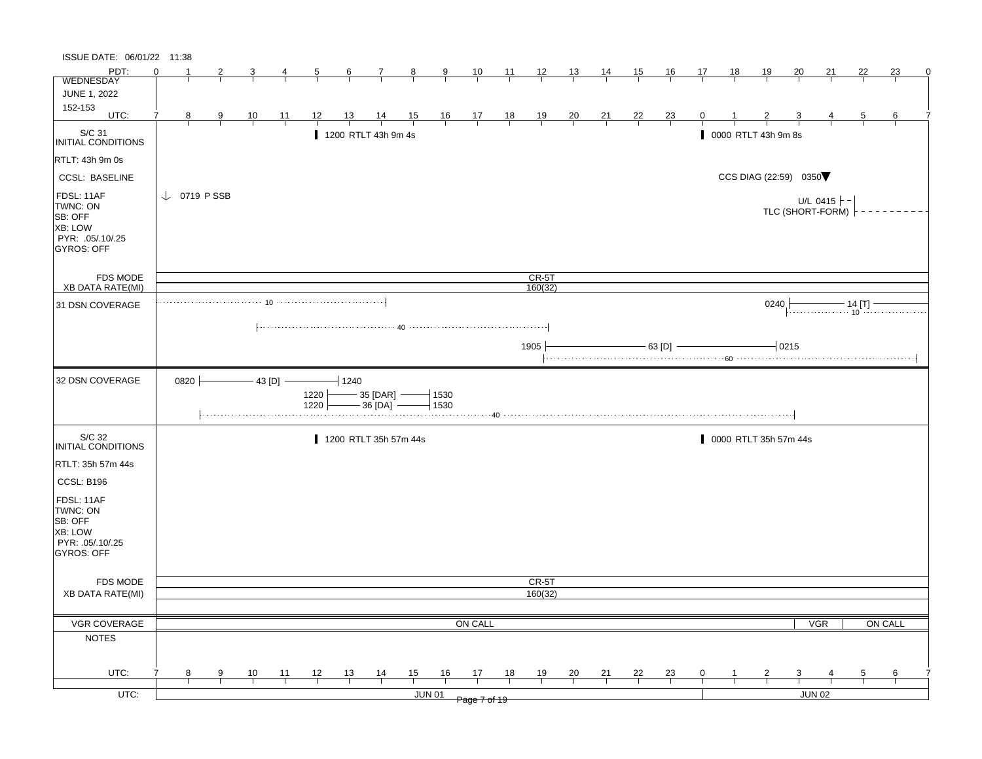| ISSUE DATE: 06/01/22 11:38                                                            |                        |               |                |                |              |           |                                 |                |                    |                                              |                 |                |                |                |                |                |              |    |                       |                         |                                         |          |         |   |
|---------------------------------------------------------------------------------------|------------------------|---------------|----------------|----------------|--------------|-----------|---------------------------------|----------------|--------------------|----------------------------------------------|-----------------|----------------|----------------|----------------|----------------|----------------|--------------|----|-----------------------|-------------------------|-----------------------------------------|----------|---------|---|
| PDT:                                                                                  | $\Omega$               |               |                |                | 5            | 6         | 7                               | 8              | 9                  | 10                                           | $\overline{11}$ | $\frac{12}{ }$ | 13             | <u>14</u>      | 15             | 16             | 17           | 18 | 19                    | 20                      | 21                                      | 22       | 23      | 0 |
| WEDNESDAY                                                                             |                        |               |                |                |              |           |                                 |                |                    |                                              |                 |                |                |                |                |                |              |    |                       |                         |                                         |          |         |   |
| JUNE 1, 2022                                                                          |                        |               |                |                |              |           |                                 |                |                    |                                              |                 |                |                |                |                |                |              |    |                       |                         |                                         |          |         |   |
| 152-153<br>UTC:                                                                       | 7<br>8 <sup>2</sup>    |               |                | $\frac{11}{1}$ | 12           | <u>13</u> |                                 |                |                    |                                              |                 |                |                |                |                |                | $\mathbf{0}$ |    |                       | $\overline{\mathbf{3}}$ |                                         | <u>5</u> | 6       |   |
|                                                                                       |                        | $\frac{9}{1}$ | $\frac{10}{1}$ |                |              |           | $\frac{14}{ }$                  | $\frac{15}{1}$ |                    | $\frac{16}{1}$ $\frac{17}{1}$ $\frac{18}{1}$ |                 | $\frac{19}{1}$ | $\frac{20}{1}$ | $\frac{21}{1}$ | $\frac{22}{1}$ | $\frac{23}{1}$ |              |    |                       |                         |                                         |          |         |   |
| S/C 31<br>INITIAL CONDITIONS                                                          |                        |               |                |                |              |           | 1200 RTLT 43h 9m 4s             |                |                    |                                              |                 |                |                |                |                |                |              |    | 0000 RTLT 43h 9m 8s   |                         |                                         |          |         |   |
| RTLT: 43h 9m 0s                                                                       |                        |               |                |                |              |           |                                 |                |                    |                                              |                 |                |                |                |                |                |              |    |                       |                         |                                         |          |         |   |
| <b>CCSL: BASELINE</b>                                                                 |                        |               |                |                |              |           |                                 |                |                    |                                              |                 |                |                |                |                |                |              |    | CCS DIAG (22:59) 0350 |                         |                                         |          |         |   |
| FDSL: 11AF<br>TWNC: ON<br>SB: OFF<br>XB: LOW<br>PYR: .05/.10/.25<br><b>GYROS: OFF</b> | $\downarrow$ 0719 PSSB |               |                |                |              |           |                                 |                |                    |                                              |                 |                |                |                |                |                |              |    |                       |                         | U/L 0415 $\vdash$ -<br>TLC (SHORT-FORM) |          |         |   |
| <b>FDS MODE</b>                                                                       |                        |               |                |                |              |           |                                 |                |                    |                                              |                 | $CR-5T$        |                |                |                |                |              |    |                       |                         |                                         |          |         |   |
| <b>XB DATA RATE(MI)</b>                                                               |                        |               |                |                |              |           |                                 |                |                    |                                              |                 | 160(32)        |                |                |                |                |              |    |                       |                         |                                         |          |         |   |
| 31 DSN COVERAGE                                                                       |                        |               |                |                |              |           |                                 |                |                    |                                              |                 |                |                |                |                |                |              |    | 0240                  |                         |                                         |          |         |   |
|                                                                                       |                        |               |                |                |              |           |                                 |                |                    |                                              |                 | 1905           |                |                |                | $- 63$ [D] $-$ |              |    |                       | $-0215$                 |                                         |          |         |   |
| 32 DSN COVERAGE                                                                       |                        |               |                |                |              |           |                                 |                |                    |                                              |                 |                |                |                |                |                |              |    |                       |                         |                                         |          |         |   |
|                                                                                       | 0820                   |               |                | $-43$ [D] $-$  | 1220<br>1220 | $-1240$   | $-$ 35 [DAR] $-$<br>- 36 [DA] - |                | $-1530$<br>$-1530$ |                                              |                 |                |                |                |                |                |              |    |                       |                         |                                         |          |         |   |
|                                                                                       |                        |               |                |                |              |           |                                 |                |                    | 40                                           |                 |                |                |                |                |                |              |    |                       |                         |                                         |          |         |   |
| S/C 32<br>INITIAL CONDITIONS                                                          |                        |               |                |                |              |           | 1200 RTLT 35h 57m 44s           |                |                    |                                              |                 |                |                |                |                |                |              |    | 0000 RTLT 35h 57m 44s |                         |                                         |          |         |   |
| RTLT: 35h 57m 44s                                                                     |                        |               |                |                |              |           |                                 |                |                    |                                              |                 |                |                |                |                |                |              |    |                       |                         |                                         |          |         |   |
| CCSL: B196                                                                            |                        |               |                |                |              |           |                                 |                |                    |                                              |                 |                |                |                |                |                |              |    |                       |                         |                                         |          |         |   |
| FDSL: 11AF<br>TWNC: ON<br>SB: OFF<br>XB: LOW<br>PYR: .05/.10/.25<br>GYROS: OFF        |                        |               |                |                |              |           |                                 |                |                    |                                              |                 |                |                |                |                |                |              |    |                       |                         |                                         |          |         |   |
|                                                                                       |                        |               |                |                |              |           |                                 |                |                    |                                              |                 |                |                |                |                |                |              |    |                       |                         |                                         |          |         |   |
| FDS MODE<br><b>XB DATA RATE(MI)</b>                                                   |                        |               |                |                |              |           |                                 |                |                    |                                              |                 | CR-5T          |                |                |                |                |              |    |                       |                         |                                         |          |         |   |
|                                                                                       |                        |               |                |                |              |           |                                 |                |                    |                                              |                 | 160(32)        |                |                |                |                |              |    |                       |                         |                                         |          |         |   |
|                                                                                       |                        |               |                |                |              |           |                                 |                |                    |                                              |                 |                |                |                |                |                |              |    |                       |                         |                                         |          |         |   |
| VGR COVERAGE                                                                          |                        |               |                |                |              |           |                                 |                |                    | ON CALL                                      |                 |                |                |                |                |                |              |    |                       |                         | <b>VGR</b>                              |          | ON CALL |   |
| <b>NOTES</b>                                                                          |                        |               |                |                |              |           |                                 |                |                    |                                              |                 |                |                |                |                |                |              |    |                       |                         |                                         |          |         |   |
| UTC:                                                                                  | 8                      | 9             | 10             | 11             | 12           | 13        |                                 | 15             | 16                 | 17                                           | 18              | 19             |                | 21             | 22             | 23             | $\mathbf{0}$ |    | 2                     | 3                       |                                         | 5        | 6       |   |
| UTC:                                                                                  |                        |               |                |                |              |           | $\frac{14}{1}$                  |                | <b>JUN 01</b>      | Page 7 of 19                                 |                 |                | $\frac{20}{1}$ |                |                |                |              |    |                       |                         | JUN 02                                  |          |         |   |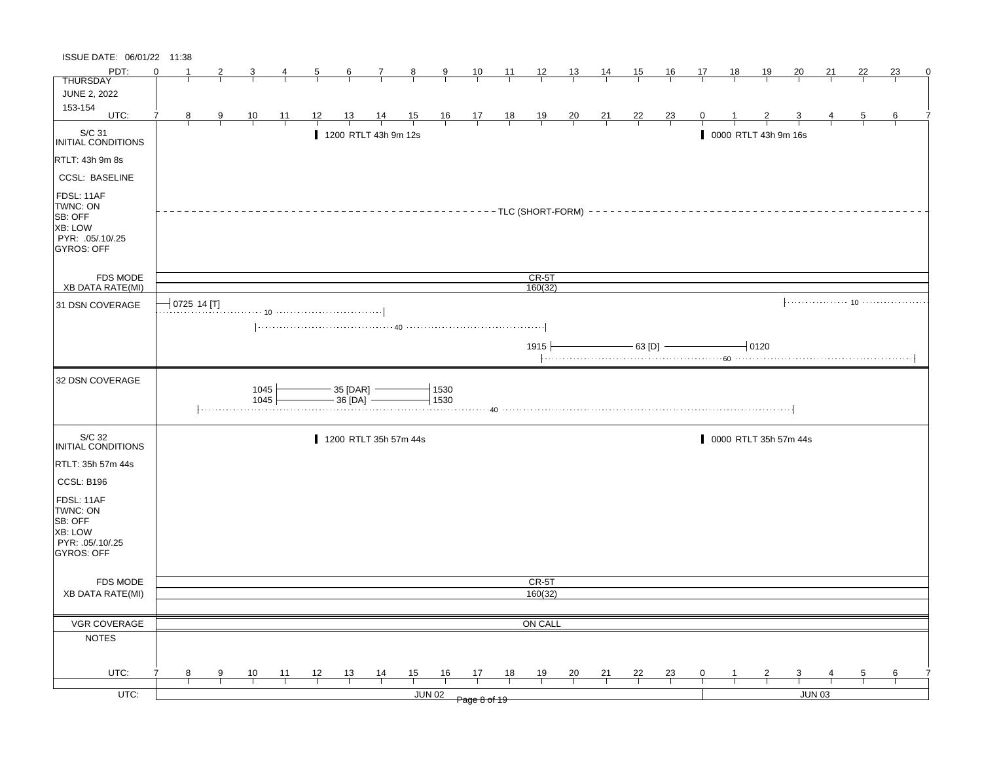| PDT:<br>$\Omega$<br>23<br>10<br>$\frac{11}{2}$<br>$\frac{12}{ }$<br>15<br>16<br>18<br><u>19</u><br><u>20</u><br><u>21</u><br>22<br>$\mathbf{7}$<br>$_{8}$<br>$\frac{9}{2}$<br><u> 13  </u><br>$\frac{14}{1}$<br>17<br>5<br>6<br><b>THURSDAY</b><br><b>JUNE 2, 2022</b><br>153-154<br>UTC:<br>$\frac{14}{1}$<br>$\frac{15}{1}$<br>$\begin{array}{c ccccc}\n16 & 17 & 18 \\ \hline\n\end{array}$<br>$\frac{19}{1}$<br>7<br>8<br>$\frac{10}{1}$<br>$\frac{11}{1}$<br>12<br><u>13</u><br>$\frac{20}{1}$<br>$\frac{21}{1}$<br>$\frac{22}{1}$<br>$\frac{23}{1}$<br>0<br>6<br>9<br>5<br>S/C 31<br>1200 RTLT 43h 9m 12s<br>0000 RTLT 43h 9m 16s<br>INITIAL CONDITIONS<br>RTLT: 43h 9m 8s<br><b>CCSL: BASELINE</b><br>FDSL: 11AF<br>TWNC: ON<br>$---TLC$ (SHORT-FORM) -<br><b>SB: OFF</b><br><b>XB: LOW</b><br>PYR: .05/.10/.25<br><b>GYROS: OFF</b><br>CR-5T<br><b>FDS MODE</b><br><b>XB DATA RATE(MI)</b><br>160(32)<br>0725 14 [T]<br>31 DSN COVERAGE<br>$-$ 63 [D] $-$<br>$1915 +$<br>$-10120$<br>32 DSN COVERAGE<br>1045<br>$-35$ [DAR] $-$<br>1530<br>1045<br>$-36$ [DA] $-$<br>1530<br>S/C 32<br>1200 RTLT 35h 57m 44s<br>0000 RTLT 35h 57m 44s<br>INITIAL CONDITIONS<br>RTLT: 35h 57m 44s<br>CCSL: B196<br>FDSL: 11AF<br>TWNC: ON<br>SB: OFF<br>XB: LOW<br>PYR: .05/.10/.25<br>GYROS: OFF<br>CR-5T<br><b>FDS MODE</b><br>160(32)<br><b>XB DATA RATE(MI)</b><br>VGR COVERAGE<br>ON CALL<br><b>NOTES</b><br>UTC:<br>13<br>$\frac{14}{1}$<br>15<br>16<br>17<br>18<br>19<br>21<br>22<br>10<br>11<br>12<br>20<br>$\frac{23}{4}$<br>0<br>8<br>9<br>5<br>6<br>$UTC$ :<br>JUN 03<br><b>JUN 02</b><br>Page 8 of 19 | ISSUE DATE: 06/01/22 11:38 |  |  |  |  |  |  |  |  |  |  |  |  |   |
|----------------------------------------------------------------------------------------------------------------------------------------------------------------------------------------------------------------------------------------------------------------------------------------------------------------------------------------------------------------------------------------------------------------------------------------------------------------------------------------------------------------------------------------------------------------------------------------------------------------------------------------------------------------------------------------------------------------------------------------------------------------------------------------------------------------------------------------------------------------------------------------------------------------------------------------------------------------------------------------------------------------------------------------------------------------------------------------------------------------------------------------------------------------------------------------------------------------------------------------------------------------------------------------------------------------------------------------------------------------------------------------------------------------------------------------------------------------------------------------------------------------------------------------------------------------------------------------------------------|----------------------------|--|--|--|--|--|--|--|--|--|--|--|--|---|
|                                                                                                                                                                                                                                                                                                                                                                                                                                                                                                                                                                                                                                                                                                                                                                                                                                                                                                                                                                                                                                                                                                                                                                                                                                                                                                                                                                                                                                                                                                                                                                                                          |                            |  |  |  |  |  |  |  |  |  |  |  |  | 0 |
|                                                                                                                                                                                                                                                                                                                                                                                                                                                                                                                                                                                                                                                                                                                                                                                                                                                                                                                                                                                                                                                                                                                                                                                                                                                                                                                                                                                                                                                                                                                                                                                                          |                            |  |  |  |  |  |  |  |  |  |  |  |  |   |
|                                                                                                                                                                                                                                                                                                                                                                                                                                                                                                                                                                                                                                                                                                                                                                                                                                                                                                                                                                                                                                                                                                                                                                                                                                                                                                                                                                                                                                                                                                                                                                                                          |                            |  |  |  |  |  |  |  |  |  |  |  |  |   |
|                                                                                                                                                                                                                                                                                                                                                                                                                                                                                                                                                                                                                                                                                                                                                                                                                                                                                                                                                                                                                                                                                                                                                                                                                                                                                                                                                                                                                                                                                                                                                                                                          |                            |  |  |  |  |  |  |  |  |  |  |  |  |   |
|                                                                                                                                                                                                                                                                                                                                                                                                                                                                                                                                                                                                                                                                                                                                                                                                                                                                                                                                                                                                                                                                                                                                                                                                                                                                                                                                                                                                                                                                                                                                                                                                          |                            |  |  |  |  |  |  |  |  |  |  |  |  |   |
|                                                                                                                                                                                                                                                                                                                                                                                                                                                                                                                                                                                                                                                                                                                                                                                                                                                                                                                                                                                                                                                                                                                                                                                                                                                                                                                                                                                                                                                                                                                                                                                                          |                            |  |  |  |  |  |  |  |  |  |  |  |  |   |
|                                                                                                                                                                                                                                                                                                                                                                                                                                                                                                                                                                                                                                                                                                                                                                                                                                                                                                                                                                                                                                                                                                                                                                                                                                                                                                                                                                                                                                                                                                                                                                                                          |                            |  |  |  |  |  |  |  |  |  |  |  |  |   |
|                                                                                                                                                                                                                                                                                                                                                                                                                                                                                                                                                                                                                                                                                                                                                                                                                                                                                                                                                                                                                                                                                                                                                                                                                                                                                                                                                                                                                                                                                                                                                                                                          |                            |  |  |  |  |  |  |  |  |  |  |  |  |   |
|                                                                                                                                                                                                                                                                                                                                                                                                                                                                                                                                                                                                                                                                                                                                                                                                                                                                                                                                                                                                                                                                                                                                                                                                                                                                                                                                                                                                                                                                                                                                                                                                          |                            |  |  |  |  |  |  |  |  |  |  |  |  |   |
|                                                                                                                                                                                                                                                                                                                                                                                                                                                                                                                                                                                                                                                                                                                                                                                                                                                                                                                                                                                                                                                                                                                                                                                                                                                                                                                                                                                                                                                                                                                                                                                                          |                            |  |  |  |  |  |  |  |  |  |  |  |  |   |
|                                                                                                                                                                                                                                                                                                                                                                                                                                                                                                                                                                                                                                                                                                                                                                                                                                                                                                                                                                                                                                                                                                                                                                                                                                                                                                                                                                                                                                                                                                                                                                                                          |                            |  |  |  |  |  |  |  |  |  |  |  |  |   |
|                                                                                                                                                                                                                                                                                                                                                                                                                                                                                                                                                                                                                                                                                                                                                                                                                                                                                                                                                                                                                                                                                                                                                                                                                                                                                                                                                                                                                                                                                                                                                                                                          |                            |  |  |  |  |  |  |  |  |  |  |  |  |   |
|                                                                                                                                                                                                                                                                                                                                                                                                                                                                                                                                                                                                                                                                                                                                                                                                                                                                                                                                                                                                                                                                                                                                                                                                                                                                                                                                                                                                                                                                                                                                                                                                          |                            |  |  |  |  |  |  |  |  |  |  |  |  |   |
|                                                                                                                                                                                                                                                                                                                                                                                                                                                                                                                                                                                                                                                                                                                                                                                                                                                                                                                                                                                                                                                                                                                                                                                                                                                                                                                                                                                                                                                                                                                                                                                                          |                            |  |  |  |  |  |  |  |  |  |  |  |  |   |
|                                                                                                                                                                                                                                                                                                                                                                                                                                                                                                                                                                                                                                                                                                                                                                                                                                                                                                                                                                                                                                                                                                                                                                                                                                                                                                                                                                                                                                                                                                                                                                                                          |                            |  |  |  |  |  |  |  |  |  |  |  |  |   |
|                                                                                                                                                                                                                                                                                                                                                                                                                                                                                                                                                                                                                                                                                                                                                                                                                                                                                                                                                                                                                                                                                                                                                                                                                                                                                                                                                                                                                                                                                                                                                                                                          |                            |  |  |  |  |  |  |  |  |  |  |  |  |   |
|                                                                                                                                                                                                                                                                                                                                                                                                                                                                                                                                                                                                                                                                                                                                                                                                                                                                                                                                                                                                                                                                                                                                                                                                                                                                                                                                                                                                                                                                                                                                                                                                          |                            |  |  |  |  |  |  |  |  |  |  |  |  |   |
|                                                                                                                                                                                                                                                                                                                                                                                                                                                                                                                                                                                                                                                                                                                                                                                                                                                                                                                                                                                                                                                                                                                                                                                                                                                                                                                                                                                                                                                                                                                                                                                                          |                            |  |  |  |  |  |  |  |  |  |  |  |  |   |
|                                                                                                                                                                                                                                                                                                                                                                                                                                                                                                                                                                                                                                                                                                                                                                                                                                                                                                                                                                                                                                                                                                                                                                                                                                                                                                                                                                                                                                                                                                                                                                                                          |                            |  |  |  |  |  |  |  |  |  |  |  |  |   |
|                                                                                                                                                                                                                                                                                                                                                                                                                                                                                                                                                                                                                                                                                                                                                                                                                                                                                                                                                                                                                                                                                                                                                                                                                                                                                                                                                                                                                                                                                                                                                                                                          |                            |  |  |  |  |  |  |  |  |  |  |  |  |   |
|                                                                                                                                                                                                                                                                                                                                                                                                                                                                                                                                                                                                                                                                                                                                                                                                                                                                                                                                                                                                                                                                                                                                                                                                                                                                                                                                                                                                                                                                                                                                                                                                          |                            |  |  |  |  |  |  |  |  |  |  |  |  |   |
|                                                                                                                                                                                                                                                                                                                                                                                                                                                                                                                                                                                                                                                                                                                                                                                                                                                                                                                                                                                                                                                                                                                                                                                                                                                                                                                                                                                                                                                                                                                                                                                                          |                            |  |  |  |  |  |  |  |  |  |  |  |  |   |
|                                                                                                                                                                                                                                                                                                                                                                                                                                                                                                                                                                                                                                                                                                                                                                                                                                                                                                                                                                                                                                                                                                                                                                                                                                                                                                                                                                                                                                                                                                                                                                                                          |                            |  |  |  |  |  |  |  |  |  |  |  |  |   |
|                                                                                                                                                                                                                                                                                                                                                                                                                                                                                                                                                                                                                                                                                                                                                                                                                                                                                                                                                                                                                                                                                                                                                                                                                                                                                                                                                                                                                                                                                                                                                                                                          |                            |  |  |  |  |  |  |  |  |  |  |  |  |   |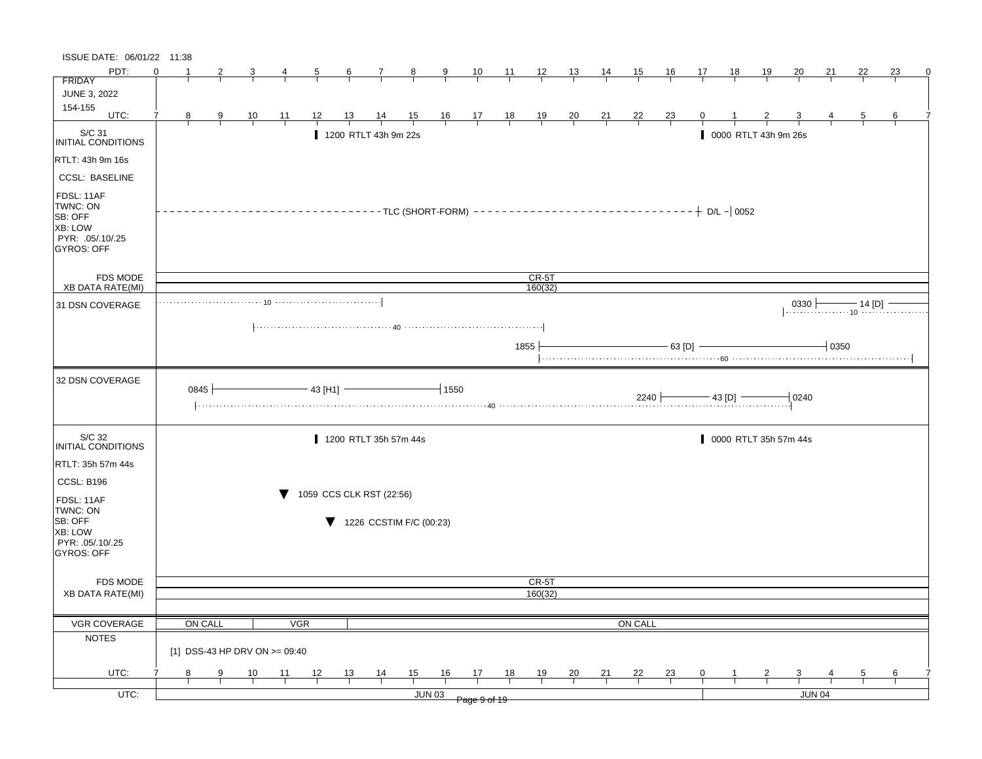| ISSUE DATE: 06/01/22 11:38            |          |         |   |                               |                |                          |                  |                         |                |               |                                                                |       |                                     |                |                |                |                            |    |                |                       |               |          |             |                                           |   |
|---------------------------------------|----------|---------|---|-------------------------------|----------------|--------------------------|------------------|-------------------------|----------------|---------------|----------------------------------------------------------------|-------|-------------------------------------|----------------|----------------|----------------|----------------------------|----|----------------|-----------------------|---------------|----------|-------------|-------------------------------------------|---|
| PDT:                                  | $\Omega$ |         |   |                               |                | 5                        | $6 \overline{6}$ | $\mathbf{7}$            | $\frac{8}{1}$  | $\frac{9}{2}$ | 10                                                             | $-11$ | $\frac{12}{ }$                      | $\frac{13}{2}$ | $\frac{14}{1}$ | 15             | 16                         | 17 | 18             | <u> 19</u>            | <u>20</u>     | 21       | 22          | 23                                        | 0 |
| <b>FRIDAY</b>                         |          |         |   |                               |                |                          |                  |                         |                |               |                                                                |       |                                     |                |                |                |                            |    |                |                       |               |          |             |                                           |   |
| JUNE 3, 2022                          |          |         |   |                               |                |                          |                  |                         |                |               |                                                                |       |                                     |                |                |                |                            |    |                |                       |               |          |             |                                           |   |
| 154-155<br>UTC:                       | 7        | 8       | 9 | $\frac{10}{1}$                | $\frac{11}{1}$ | 12                       | 13               | $\frac{14}{1}$          | $\frac{15}{1}$ |               | $\begin{array}{c cc} 16 & 17 & 18 \\ \hline & & & \end{array}$ |       | $\frac{19}{1}$                      | $\frac{20}{1}$ | $\frac{21}{1}$ | $\frac{22}{1}$ | $\frac{23}{1}$             |    |                |                       |               |          | 5           | 6                                         |   |
| S/C 31                                |          |         |   |                               |                |                          |                  | 1200 RTLT 43h 9m 22s    |                |               |                                                                |       |                                     |                |                |                |                            |    |                | 0000 RTLT 43h 9m 26s  |               |          |             |                                           |   |
| INITIAL CONDITIONS                    |          |         |   |                               |                |                          |                  |                         |                |               |                                                                |       |                                     |                |                |                |                            |    |                |                       |               |          |             |                                           |   |
| RTLT: 43h 9m 16s                      |          |         |   |                               |                |                          |                  |                         |                |               |                                                                |       |                                     |                |                |                |                            |    |                |                       |               |          |             |                                           |   |
| <b>CCSL: BASELINE</b>                 |          |         |   |                               |                |                          |                  |                         |                |               |                                                                |       |                                     |                |                |                |                            |    |                |                       |               |          |             |                                           |   |
| FDSL: 11AF<br>TWNC: ON<br>SB: OFF     |          |         |   |                               |                |                          |                  |                         |                |               |                                                                |       | $------TLC (SHORT-FORM)$ ---------- |                |                |                | $------------+ D/L - 0052$ |    |                |                       |               |          |             |                                           |   |
| <b>XB: LOW</b>                        |          |         |   |                               |                |                          |                  |                         |                |               |                                                                |       |                                     |                |                |                |                            |    |                |                       |               |          |             |                                           |   |
| PYR: .05/.10/.25<br>GYROS: OFF        |          |         |   |                               |                |                          |                  |                         |                |               |                                                                |       |                                     |                |                |                |                            |    |                |                       |               |          |             |                                           |   |
|                                       |          |         |   |                               |                |                          |                  |                         |                |               |                                                                |       |                                     |                |                |                |                            |    |                |                       |               |          |             |                                           |   |
| <b>FDS MODE</b>                       |          |         |   |                               |                |                          |                  |                         |                |               |                                                                |       | CR-5T                               |                |                |                |                            |    |                |                       |               |          |             |                                           |   |
| <b>XB DATA RATE(MI)</b>               |          |         |   |                               |                |                          |                  |                         |                |               |                                                                |       | 160(32)                             |                |                |                |                            |    |                |                       |               |          |             |                                           |   |
| 31 DSN COVERAGE                       |          |         |   |                               |                |                          |                  |                         |                |               |                                                                |       |                                     |                |                |                |                            |    |                |                       | $0330 +$      |          | — 14 [D]  – | <sub>10</sub> <del>.</del> . <del>.</del> |   |
|                                       |          |         |   |                               |                |                          |                  |                         |                |               |                                                                |       |                                     |                |                |                |                            |    |                |                       |               |          |             |                                           |   |
|                                       |          |         |   |                               |                |                          |                  |                         |                |               |                                                                |       | 1855                                |                |                |                | $-63$ [D]                  |    |                |                       |               | $+$ 0350 |             |                                           |   |
|                                       |          |         |   |                               |                |                          |                  |                         |                |               |                                                                |       |                                     |                |                |                |                            |    |                |                       |               |          |             |                                           |   |
| 32 DSN COVERAGE                       |          | 0845    |   |                               |                | $-43$ [H1]               |                  |                         |                | $-1550$       |                                                                |       |                                     |                |                |                |                            |    | $-$ 43 [D] $-$ |                       | 0240          |          |             |                                           |   |
|                                       |          |         |   |                               |                |                          |                  |                         |                |               |                                                                |       |                                     |                |                |                |                            |    |                |                       |               |          |             |                                           |   |
| S/C 32<br>INITIAL CONDITIONS          |          |         |   |                               |                |                          |                  | 1200 RTLT 35h 57m 44s   |                |               |                                                                |       |                                     |                |                |                |                            |    |                | 0000 RTLT 35h 57m 44s |               |          |             |                                           |   |
| RTLT: 35h 57m 44s                     |          |         |   |                               |                |                          |                  |                         |                |               |                                                                |       |                                     |                |                |                |                            |    |                |                       |               |          |             |                                           |   |
| CCSL: B196                            |          |         |   |                               |                |                          |                  |                         |                |               |                                                                |       |                                     |                |                |                |                            |    |                |                       |               |          |             |                                           |   |
| FDSL: 11AF                            |          |         |   |                               | v              | 1059 CCS CLK RST (22:56) |                  |                         |                |               |                                                                |       |                                     |                |                |                |                            |    |                |                       |               |          |             |                                           |   |
| TWNC: ON<br>SB: OFF                   |          |         |   |                               |                |                          |                  | 1226 CCSTIM F/C (00:23) |                |               |                                                                |       |                                     |                |                |                |                            |    |                |                       |               |          |             |                                           |   |
| <b>XB: LOW</b>                        |          |         |   |                               |                |                          |                  |                         |                |               |                                                                |       |                                     |                |                |                |                            |    |                |                       |               |          |             |                                           |   |
| PYR: .05/.10/.25<br><b>GYROS: OFF</b> |          |         |   |                               |                |                          |                  |                         |                |               |                                                                |       |                                     |                |                |                |                            |    |                |                       |               |          |             |                                           |   |
|                                       |          |         |   |                               |                |                          |                  |                         |                |               |                                                                |       |                                     |                |                |                |                            |    |                |                       |               |          |             |                                           |   |
| <b>FDS MODE</b>                       |          |         |   |                               |                |                          |                  |                         |                |               |                                                                |       | CR-5T                               |                |                |                |                            |    |                |                       |               |          |             |                                           |   |
| <b>XB DATA RATE(MI)</b>               |          |         |   |                               |                |                          |                  |                         |                |               |                                                                |       | 160(32)                             |                |                |                |                            |    |                |                       |               |          |             |                                           |   |
|                                       |          |         |   |                               |                |                          |                  |                         |                |               |                                                                |       |                                     |                |                |                |                            |    |                |                       |               |          |             |                                           |   |
| VGR COVERAGE                          |          | ON CALL |   |                               |                | <b>VGR</b>               |                  |                         |                |               |                                                                |       |                                     |                |                | <b>ON CALL</b> |                            |    |                |                       |               |          |             |                                           |   |
| <b>NOTES</b>                          |          |         |   | [1] DSS-43 HP DRV ON >= 09:40 |                |                          |                  |                         |                |               |                                                                |       |                                     |                |                |                |                            |    |                |                       |               |          |             |                                           |   |
| UTC:                                  |          | 8       | 9 | 10                            | 11             | 12                       | 13               | $\frac{14}{1}$          | 15             | 16            | 17                                                             | 18    | 19                                  | 20             | 21             | <u>22</u>      | $\frac{23}{4}$             | 0  |                |                       |               |          | 5           | 6                                         |   |
| $UTC$ :                               |          |         |   |                               |                |                          |                  |                         |                | <b>JUN 03</b> |                                                                |       |                                     |                |                |                |                            |    |                |                       | <b>JUN 04</b> |          |             |                                           |   |
|                                       |          |         |   |                               |                |                          |                  |                         |                |               | Page 9 of 19                                                   |       |                                     |                |                |                |                            |    |                |                       |               |          |             |                                           |   |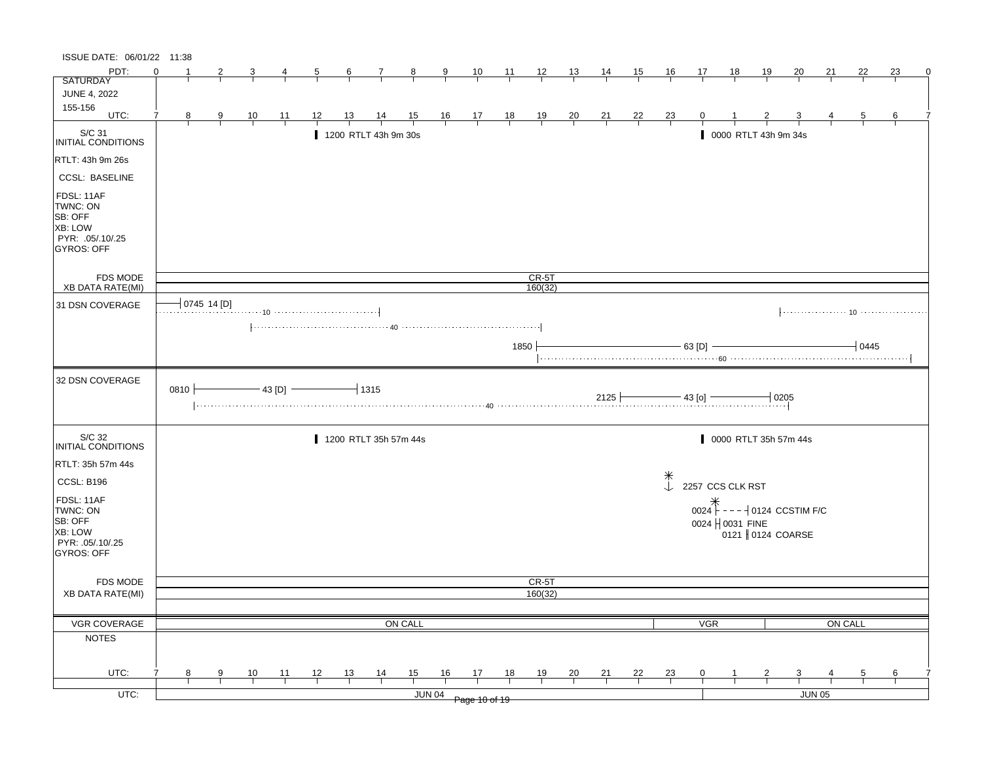| ISSUE DATE: 06/01/22 11:38                                                            |          |             |                |               |    |                                                                                                                                               |                     |                |               |                                                               |      |                    |                |                |                |                                      |                  |                  |                       |                  |         |      |    |
|---------------------------------------------------------------------------------------|----------|-------------|----------------|---------------|----|-----------------------------------------------------------------------------------------------------------------------------------------------|---------------------|----------------|---------------|---------------------------------------------------------------|------|--------------------|----------------|----------------|----------------|--------------------------------------|------------------|------------------|-----------------------|------------------|---------|------|----|
| PDT:                                                                                  | $\Omega$ |             | 3              | 4             | 5  | 6                                                                                                                                             | 7                   | $_{\rm 8}$     | 9             | 10                                                            | 11   | $\frac{12}{ }$     | <u>13</u>      | $\frac{14}{ }$ | 15             | 16                                   | 17               | 18               | 19                    | 20               | 21      | 22   | 23 |
| <b>SATURDAY</b>                                                                       |          |             |                |               |    |                                                                                                                                               |                     |                |               |                                                               |      |                    |                |                |                |                                      |                  |                  |                       |                  |         |      |    |
| <b>JUNE 4, 2022</b>                                                                   |          |             |                |               |    |                                                                                                                                               |                     |                |               |                                                               |      |                    |                |                |                |                                      |                  |                  |                       |                  |         |      |    |
| 155-156<br>UTC:                                                                       | -7       |             |                |               |    |                                                                                                                                               |                     |                |               |                                                               |      |                    |                |                |                |                                      |                  |                  |                       |                  |         |      |    |
|                                                                                       | 8        | 9           | $\frac{10}{1}$ | 11            | 12 | 13                                                                                                                                            | $\frac{14}{1}$      | $\frac{15}{1}$ |               | $\begin{array}{c ccccc}\n16 & 17 & 18 \\ \hline\n\end{array}$ |      | $\frac{19}{1}$     | $\frac{20}{1}$ | $\frac{21}{1}$ | $\frac{22}{1}$ | $\frac{23}{1}$                       | 0                |                  |                       |                  |         | 5    | 6  |
| S/C 31<br>INITIAL CONDITIONS                                                          |          |             |                |               |    | 1200 RTLT 43h 9m 30s                                                                                                                          |                     |                |               |                                                               |      |                    |                |                |                |                                      |                  |                  | 0000 RTLT 43h 9m 34s  |                  |         |      |    |
| RTLT: 43h 9m 26s                                                                      |          |             |                |               |    |                                                                                                                                               |                     |                |               |                                                               |      |                    |                |                |                |                                      |                  |                  |                       |                  |         |      |    |
| <b>CCSL: BASELINE</b>                                                                 |          |             |                |               |    |                                                                                                                                               |                     |                |               |                                                               |      |                    |                |                |                |                                      |                  |                  |                       |                  |         |      |    |
| FDSL: 11AF<br>TWNC: ON<br>SB: OFF<br>XB: LOW<br>PYR: .05/.10/.25<br><b>GYROS: OFF</b> |          |             |                |               |    |                                                                                                                                               |                     |                |               |                                                               |      |                    |                |                |                |                                      |                  |                  |                       |                  |         |      |    |
| FDS MODE<br><b>XB DATA RATE(MI)</b>                                                   |          |             |                |               |    |                                                                                                                                               |                     |                |               |                                                               |      | $CR-5T$<br>160(32) |                |                |                |                                      |                  |                  |                       |                  |         |      |    |
|                                                                                       |          |             |                |               |    |                                                                                                                                               |                     |                |               |                                                               |      |                    |                |                |                |                                      |                  |                  |                       |                  |         |      |    |
| 31 DSN COVERAGE                                                                       |          | 0745 14 [D] |                |               |    |                                                                                                                                               |                     |                |               |                                                               |      |                    |                |                |                |                                      |                  |                  |                       |                  |         |      |    |
|                                                                                       |          |             |                |               |    | $\left[\ldots\ldots\ldots\ldots\ldots\ldots\ldots\ldots\ldots\ 40\ \ldots\ldots\ldots\ldots\ldots\ldots\ldots\ldots\ldots\ldots\ldots\right]$ |                     |                |               |                                                               |      |                    |                |                |                |                                      |                  |                  |                       |                  |         |      |    |
|                                                                                       |          |             |                |               |    |                                                                                                                                               |                     |                |               |                                                               |      |                    |                |                |                |                                      |                  |                  |                       |                  |         |      |    |
|                                                                                       |          |             |                |               |    |                                                                                                                                               |                     |                |               |                                                               | 1850 |                    |                |                |                |                                      | 63 [D]           |                  |                       |                  |         | 0445 |    |
|                                                                                       |          |             |                |               |    |                                                                                                                                               |                     |                |               |                                                               |      |                    |                |                |                |                                      |                  |                  |                       |                  |         |      |    |
| 32 DSN COVERAGE                                                                       | 0810     |             |                | $-43$ [D] $-$ |    |                                                                                                                                               | $\overline{+}$ 1315 |                |               |                                                               |      |                    |                | 2125           |                |                                      | $-$ 43 [o] $-$   |                  | $-10205$              |                  |         |      |    |
| S/C 32<br>INITIAL CONDITIONS                                                          |          |             |                |               |    | 1200 RTLT 35h 57m 44s                                                                                                                         |                     |                |               |                                                               |      |                    |                |                |                |                                      |                  |                  | 0000 RTLT 35h 57m 44s |                  |         |      |    |
| RTLT: 35h 57m 44s                                                                     |          |             |                |               |    |                                                                                                                                               |                     |                |               |                                                               |      |                    |                |                |                |                                      |                  |                  |                       |                  |         |      |    |
| CCSL: B196                                                                            |          |             |                |               |    |                                                                                                                                               |                     |                |               |                                                               |      |                    |                |                |                | $\begin{matrix} * \\ * \end{matrix}$ |                  |                  |                       |                  |         |      |    |
|                                                                                       |          |             |                |               |    |                                                                                                                                               |                     |                |               |                                                               |      |                    |                |                |                |                                      | 2257 CCS CLK RST |                  |                       |                  |         |      |    |
| FDSL: 11AF                                                                            |          |             |                |               |    |                                                                                                                                               |                     |                |               |                                                               |      |                    |                |                |                |                                      |                  |                  |                       |                  |         |      |    |
| TWNC: ON<br>SB: OFF                                                                   |          |             |                |               |    |                                                                                                                                               |                     |                |               |                                                               |      |                    |                |                |                |                                      |                  |                  |                       |                  |         |      |    |
| XB: LOW                                                                               |          |             |                |               |    |                                                                                                                                               |                     |                |               |                                                               |      |                    |                |                |                |                                      |                  | 0024   0031 FINE |                       | 0121 0124 COARSE |         |      |    |
| PYR: .05/.10/.25                                                                      |          |             |                |               |    |                                                                                                                                               |                     |                |               |                                                               |      |                    |                |                |                |                                      |                  |                  |                       |                  |         |      |    |
| GYROS: OFF                                                                            |          |             |                |               |    |                                                                                                                                               |                     |                |               |                                                               |      |                    |                |                |                |                                      |                  |                  |                       |                  |         |      |    |
|                                                                                       |          |             |                |               |    |                                                                                                                                               |                     |                |               |                                                               |      |                    |                |                |                |                                      |                  |                  |                       |                  |         |      |    |
| FDS MODE                                                                              |          |             |                |               |    |                                                                                                                                               |                     |                |               |                                                               |      | CR-5T              |                |                |                |                                      |                  |                  |                       |                  |         |      |    |
| <b>XB DATA RATE(MI)</b>                                                               |          |             |                |               |    |                                                                                                                                               |                     |                |               |                                                               |      | 160(32)            |                |                |                |                                      |                  |                  |                       |                  |         |      |    |
|                                                                                       |          |             |                |               |    |                                                                                                                                               |                     |                |               |                                                               |      |                    |                |                |                |                                      |                  |                  |                       |                  |         |      |    |
| VGR COVERAGE                                                                          |          |             |                |               |    |                                                                                                                                               |                     | ON CALL        |               |                                                               |      |                    |                |                |                |                                      | <b>VGR</b>       |                  |                       |                  | ON CALL |      |    |
| <b>NOTES</b>                                                                          |          |             |                |               |    |                                                                                                                                               |                     |                |               |                                                               |      |                    |                |                |                |                                      |                  |                  |                       |                  |         |      |    |
|                                                                                       |          |             |                |               |    |                                                                                                                                               |                     |                |               |                                                               |      |                    |                |                |                |                                      |                  |                  |                       |                  |         |      |    |
|                                                                                       |          |             |                |               |    |                                                                                                                                               |                     |                |               |                                                               |      |                    |                |                |                |                                      |                  |                  |                       |                  |         |      |    |
| UTC:                                                                                  | 8        | 9           | 10             | 11            | 12 | 13                                                                                                                                            | $\frac{14}{1}$      | 15             | 16            | 17                                                            | 18   | 19                 | $\frac{20}{1}$ | 21             | 22             | 23                                   | 0                |                  | 2                     | 3                |         | 5    | 6  |
| $UTC$ :                                                                               |          |             |                |               |    |                                                                                                                                               |                     |                | <b>JUN 04</b> | Page 10 of 19                                                 |      |                    |                |                |                |                                      |                  |                  |                       | JUN 05           |         |      |    |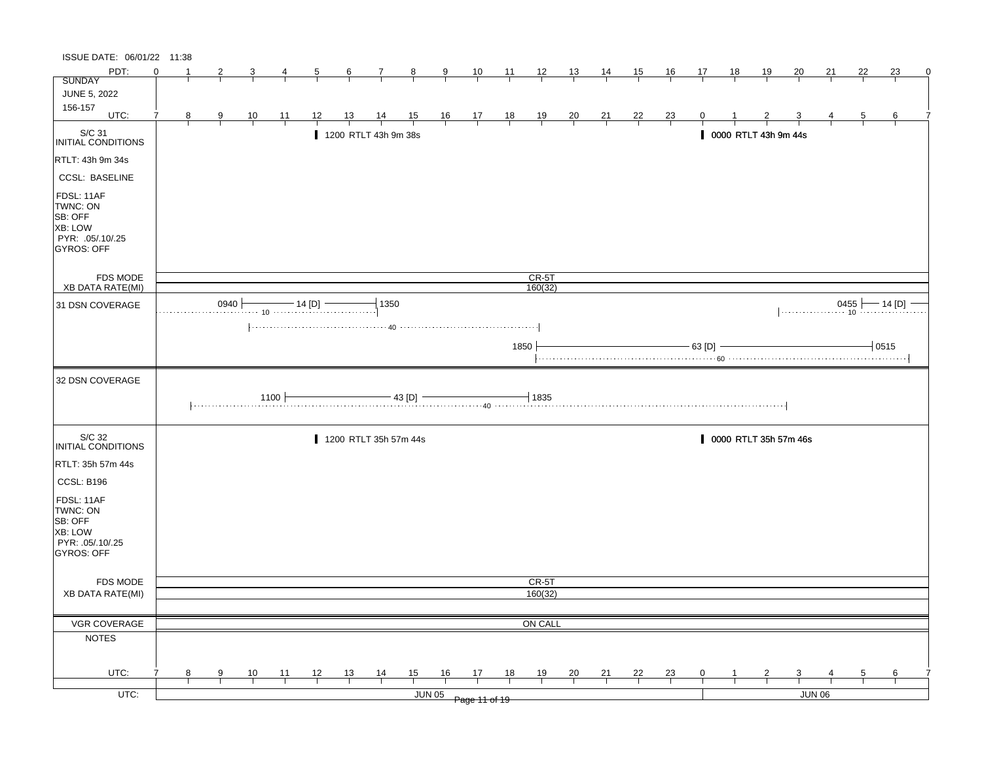| ISSUE DATE: 06/01/22 11:38                                                            |          |    |                |                |                |                |                |                                        |                |               |                                                                      |                |                    |                |                |                |                |                |                      |              |                         |                   |                |          |   |
|---------------------------------------------------------------------------------------|----------|----|----------------|----------------|----------------|----------------|----------------|----------------------------------------|----------------|---------------|----------------------------------------------------------------------|----------------|--------------------|----------------|----------------|----------------|----------------|----------------|----------------------|--------------|-------------------------|-------------------|----------------|----------|---|
| PDT:                                                                                  | $\Omega$ | -1 | 2              |                | 4              | $\overline{5}$ | $\frac{6}{ }$  | $\mathcal{I}_{\mathcal{L}}$            | $\frac{8}{1}$  | $\frac{9}{1}$ | $\frac{10}{1}$                                                       | $\frac{11}{1}$ | $\frac{12}{ }$     | $\frac{13}{2}$ | 14             | 15             | $\frac{16}{1}$ | 17             | <u>18</u>            | <u>19</u>    | 20                      | 21                | 22             | 23       | 0 |
| <b>SUNDAY</b>                                                                         |          |    |                |                |                |                |                |                                        |                |               |                                                                      |                |                    |                |                |                |                |                |                      |              |                         |                   |                |          |   |
| <b>JUNE 5, 2022</b><br>156-157                                                        |          |    |                |                |                |                |                |                                        |                |               |                                                                      |                |                    |                |                |                |                |                |                      |              |                         |                   |                |          |   |
| UTC:                                                                                  | 7        | 8  | $\overline{9}$ | $\frac{10}{1}$ | $\frac{11}{1}$ | 12             | $\frac{13}{ }$ | $\frac{14}{1}$                         | $\frac{15}{1}$ |               | $\begin{array}{c cc} 16 & 17 & 18 \\ \hline &   &   &   \end{array}$ |                | $\frac{19}{1}$     | $\frac{20}{1}$ | $\frac{21}{1}$ | $\frac{22}{ }$ | $\frac{23}{1}$ |                |                      |              |                         |                   | $\overline{5}$ | 6        |   |
| S/C 31<br>INITIAL CONDITIONS                                                          |          |    |                |                |                |                |                | 1200 RTLT 43h 9m 38s                   |                |               |                                                                      |                |                    |                |                |                |                |                | 0000 RTLT 43h 9m 44s |              |                         |                   |                |          |   |
| RTLT: 43h 9m 34s                                                                      |          |    |                |                |                |                |                |                                        |                |               |                                                                      |                |                    |                |                |                |                |                |                      |              |                         |                   |                |          |   |
| <b>CCSL: BASELINE</b>                                                                 |          |    |                |                |                |                |                |                                        |                |               |                                                                      |                |                    |                |                |                |                |                |                      |              |                         |                   |                |          |   |
| FDSL: 11AF<br>TWNC: ON<br>SB: OFF<br>XB: LOW<br>PYR: .05/.10/.25<br><b>GYROS: OFF</b> |          |    |                |                |                |                |                |                                        |                |               |                                                                      |                |                    |                |                |                |                |                |                      |              |                         |                   |                |          |   |
| FDS MODE<br>XB DATA RATE(MI)                                                          |          |    |                |                |                |                |                |                                        |                |               |                                                                      |                | $CR-5T$<br>160(32) |                |                |                |                |                |                      |              |                         |                   |                |          |   |
|                                                                                       |          |    | 0940           |                |                | $-$ 14 [D] $-$ |                | 1350                                   |                |               |                                                                      |                |                    |                |                |                |                |                |                      |              |                         |                   |                | — 14 [D] |   |
| 31 DSN COVERAGE                                                                       |          |    |                |                |                |                |                |                                        |                |               |                                                                      |                |                    |                |                |                |                |                |                      |              |                         | $0455$ $- 14$ [D] |                |          |   |
|                                                                                       |          |    |                |                |                |                |                |                                        |                |               |                                                                      | 1850           |                    |                |                |                |                | $-63$ [D]      |                      |              |                         |                   |                | $+0515$  |   |
| 32 DSN COVERAGE                                                                       |          |    |                |                |                |                |                |                                        |                |               |                                                                      |                |                    |                |                |                |                |                |                      |              |                         |                   |                |          |   |
|                                                                                       |          |    |                |                | 1100 F         |                |                | $\frac{1}{43}$ [D] $\frac{1}{40}$ 1835 |                |               |                                                                      |                |                    |                |                |                |                |                |                      |              |                         |                   |                |          |   |
| S/C 32<br>INITIAL CONDITIONS                                                          |          |    |                |                |                |                |                | 1200 RTLT 35h 57m 44s                  |                |               |                                                                      |                |                    |                |                |                |                |                |                      |              | 0000 RTLT 35h 57m 46s   |                   |                |          |   |
| RTLT: 35h 57m 44s                                                                     |          |    |                |                |                |                |                |                                        |                |               |                                                                      |                |                    |                |                |                |                |                |                      |              |                         |                   |                |          |   |
| CCSL: B196                                                                            |          |    |                |                |                |                |                |                                        |                |               |                                                                      |                |                    |                |                |                |                |                |                      |              |                         |                   |                |          |   |
| FDSL: 11AF<br>TWNC: ON<br>SB: OFF<br>XB: LOW<br>PYR: 05/10/25<br>GYROS: OFF           |          |    |                |                |                |                |                |                                        |                |               |                                                                      |                |                    |                |                |                |                |                |                      |              |                         |                   |                |          |   |
|                                                                                       |          |    |                |                |                |                |                |                                        |                |               |                                                                      |                |                    |                |                |                |                |                |                      |              |                         |                   |                |          |   |
| FDS MODE<br><b>XB DATA RATE(MI)</b>                                                   |          |    |                |                |                |                |                |                                        |                |               |                                                                      |                | CR-5T<br>160(32)   |                |                |                |                |                |                      |              |                         |                   |                |          |   |
|                                                                                       |          |    |                |                |                |                |                |                                        |                |               |                                                                      |                |                    |                |                |                |                |                |                      |              |                         |                   |                |          |   |
| VGR COVERAGE                                                                          |          |    |                |                |                |                |                |                                        |                |               |                                                                      |                | ON CALL            |                |                |                |                |                |                      |              |                         |                   |                |          |   |
| <b>NOTES</b>                                                                          |          |    |                |                |                |                |                |                                        |                |               |                                                                      |                |                    |                |                |                |                |                |                      |              |                         |                   |                |          |   |
| UTC:                                                                                  |          | 8  | $\overline{9}$ | $\frac{10}{1}$ | $\frac{11}{1}$ | $\frac{12}{ }$ | $\frac{13}{ }$ | $\frac{14}{1}$                         | $\frac{15}{1}$ | 16            | $\frac{17}{2}$                                                       | 18             | $\frac{19}{1}$     | $\frac{20}{1}$ | $\frac{21}{1}$ | $\frac{22}{1}$ | $\frac{23}{1}$ | $\overline{0}$ |                      | $\mathbf{Z}$ | $\overline{\mathbf{3}}$ |                   | $\overline{5}$ | 6        |   |
|                                                                                       |          |    |                |                |                |                |                |                                        |                |               |                                                                      |                |                    |                |                |                |                |                |                      |              |                         |                   |                |          |   |
| $UTC$ :                                                                               |          |    |                |                |                |                |                |                                        |                |               | JUN 05 Page 11 of 19                                                 |                |                    |                |                |                |                |                |                      |              |                         | <b>JUN 06</b>     |                |          |   |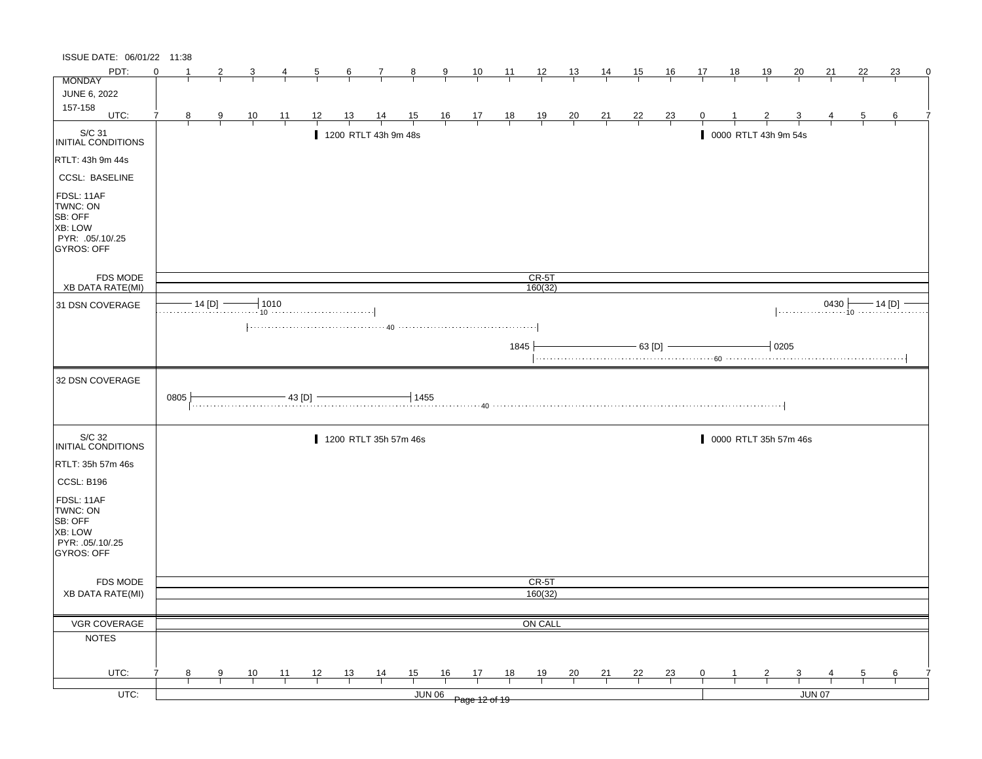| ISSUE DATE: 06/01/22 11:38                                                                   |          |   |                |                |                |                |                |                       |                |               |                                                              |                |                    |                |                |                |                |                |                      |                |                       |               |              |                       |   |
|----------------------------------------------------------------------------------------------|----------|---|----------------|----------------|----------------|----------------|----------------|-----------------------|----------------|---------------|--------------------------------------------------------------|----------------|--------------------|----------------|----------------|----------------|----------------|----------------|----------------------|----------------|-----------------------|---------------|--------------|-----------------------|---|
| PDT:                                                                                         | $\Omega$ |   | 2              |                |                | $\overline{5}$ | $\frac{6}{ }$  | 7                     | $\frac{8}{ }$  | $\frac{9}{5}$ | $\frac{10}{1}$                                               | $\frac{11}{1}$ | $\frac{12}{ }$     | $\frac{13}{2}$ | $\frac{14}{1}$ | 15             | $\frac{16}{1}$ | 17             | 18                   | $\frac{19}{1}$ | 20                    | 21            | 22           | 23                    | 0 |
| <b>MONDAY</b>                                                                                |          |   |                |                |                |                |                |                       |                |               |                                                              |                |                    |                |                |                |                |                |                      |                |                       |               |              |                       |   |
| JUNE 6, 2022<br>157-158                                                                      |          |   |                |                |                |                |                |                       |                |               |                                                              |                |                    |                |                |                |                |                |                      |                |                       |               |              |                       |   |
| UTC:                                                                                         |          | 8 | $\overline{9}$ | $\frac{10}{1}$ | $\frac{11}{1}$ | <u>12</u>      | <u>13</u>      | $\frac{14}{1}$        | $\frac{15}{1}$ |               | $\begin{array}{cccccc}\n16 & 17 & 18 \\ \hline\n\end{array}$ |                | $\frac{19}{1}$     | $\frac{20}{1}$ | $\frac{21}{1}$ | $\frac{22}{1}$ | $\frac{23}{}$  |                |                      |                |                       |               | $\mathbf{p}$ | 6                     |   |
| S/C 31<br>INITIAL CONDITIONS                                                                 |          |   |                |                |                |                |                | 1200 RTLT 43h 9m 48s  |                |               |                                                              |                |                    |                |                |                |                |                | 0000 RTLT 43h 9m 54s |                |                       |               |              |                       |   |
| RTLT: 43h 9m 44s                                                                             |          |   |                |                |                |                |                |                       |                |               |                                                              |                |                    |                |                |                |                |                |                      |                |                       |               |              |                       |   |
| <b>CCSL: BASELINE</b>                                                                        |          |   |                |                |                |                |                |                       |                |               |                                                              |                |                    |                |                |                |                |                |                      |                |                       |               |              |                       |   |
| FDSL: 11AF<br>TWNC: ON<br>SB: OFF<br><b>XB: LOW</b><br>PYR: .05/.10/.25<br><b>GYROS: OFF</b> |          |   |                |                |                |                |                |                       |                |               |                                                              |                |                    |                |                |                |                |                |                      |                |                       |               |              |                       |   |
| <b>FDS MODE</b><br><b>XB DATA RATE(MI)</b>                                                   |          |   |                |                |                |                |                |                       |                |               |                                                              |                | $CR-5T$<br>160(32) |                |                |                |                |                |                      |                |                       |               |              |                       |   |
|                                                                                              |          |   | $-14$ [D] $-$  |                | $+1010$        |                |                |                       |                |               |                                                              |                |                    |                |                |                |                |                |                      |                |                       |               |              |                       |   |
| 31 DSN COVERAGE                                                                              |          |   |                |                |                |                |                |                       |                |               |                                                              |                |                    |                |                |                |                |                |                      |                |                       |               |              | $0430$ $- 14$ [D] $-$ |   |
|                                                                                              |          |   |                |                |                |                |                |                       |                |               |                                                              |                |                    |                |                |                |                |                |                      |                |                       |               |              |                       |   |
|                                                                                              |          |   |                |                |                |                |                |                       |                |               |                                                              | 1845           |                    |                |                |                | $-$ 63 [D] $-$ |                |                      | $-10205$       |                       |               |              |                       |   |
| 32 DSN COVERAGE                                                                              |          |   |                |                |                |                |                |                       |                |               |                                                              |                |                    |                |                |                |                |                |                      |                |                       |               |              |                       |   |
|                                                                                              | 0805     |   |                |                | $-43$ [D] $-$  |                |                |                       | 1455           |               |                                                              |                |                    |                |                |                |                |                |                      |                |                       |               |              |                       |   |
| S/C 32<br>INITIAL CONDITIONS                                                                 |          |   |                |                |                |                |                | 1200 RTLT 35h 57m 46s |                |               |                                                              |                |                    |                |                |                |                |                |                      |                | 0000 RTLT 35h 57m 46s |               |              |                       |   |
| RTLT: 35h 57m 46s                                                                            |          |   |                |                |                |                |                |                       |                |               |                                                              |                |                    |                |                |                |                |                |                      |                |                       |               |              |                       |   |
| CCSL: B196                                                                                   |          |   |                |                |                |                |                |                       |                |               |                                                              |                |                    |                |                |                |                |                |                      |                |                       |               |              |                       |   |
| FDSL: 11AF<br>TWNC: ON<br>SB: OFF<br><b>XB: LOW</b><br>PYR: .05/.10/.25<br>GYROS: OFF        |          |   |                |                |                |                |                |                       |                |               |                                                              |                |                    |                |                |                |                |                |                      |                |                       |               |              |                       |   |
| FDS MODE                                                                                     |          |   |                |                |                |                |                |                       |                |               |                                                              |                | CR-5T              |                |                |                |                |                |                      |                |                       |               |              |                       |   |
| <b>XB DATA RATE(MI)</b>                                                                      |          |   |                |                |                |                |                |                       |                |               |                                                              |                | 160(32)            |                |                |                |                |                |                      |                |                       |               |              |                       |   |
|                                                                                              |          |   |                |                |                |                |                |                       |                |               |                                                              |                |                    |                |                |                |                |                |                      |                |                       |               |              |                       |   |
| VGR COVERAGE                                                                                 |          |   |                |                |                |                |                |                       |                |               |                                                              |                | ON CALL            |                |                |                |                |                |                      |                |                       |               |              |                       |   |
| <b>NOTES</b>                                                                                 |          |   |                |                |                |                |                |                       |                |               |                                                              |                |                    |                |                |                |                |                |                      |                |                       |               |              |                       |   |
| UTC:                                                                                         |          | 8 | 9              |                |                | $\frac{12}{1}$ |                |                       |                | 16            | 17                                                           | 18             | $\frac{19}{1}$     |                |                |                |                | $\overline{0}$ |                      | $\overline{z}$ | 3                     |               | 5            | 6                     |   |
|                                                                                              |          |   |                | $\frac{10}{ }$ | $\frac{11}{1}$ |                | $\frac{13}{ }$ | $\frac{14}{1}$        | $\frac{15}{1}$ |               |                                                              |                |                    | $\frac{20}{1}$ | $\frac{21}{1}$ | $\frac{22}{ }$ | $\frac{23}{1}$ |                |                      |                |                       |               |              |                       |   |
| $UTC$ :                                                                                      |          |   |                |                |                |                |                |                       |                | <b>JUN 06</b> | Page 12 of 19                                                |                |                    |                |                |                |                |                |                      |                |                       | <b>JUN 07</b> |              |                       |   |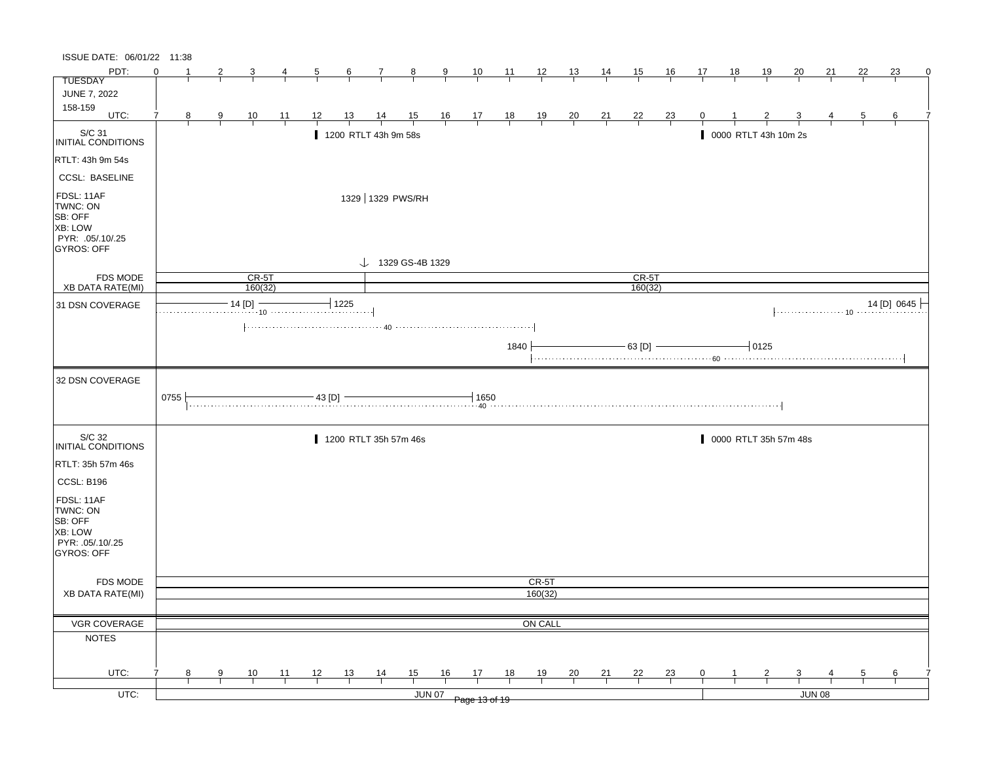| ISSUE DATE: 06/01/22 11:38                                                                   |          |   |   |                    |                |    |                  |                              |        |               |                         |       |                |                |                |                    |                |              |           |                      |                       |               |                |             |   |
|----------------------------------------------------------------------------------------------|----------|---|---|--------------------|----------------|----|------------------|------------------------------|--------|---------------|-------------------------|-------|----------------|----------------|----------------|--------------------|----------------|--------------|-----------|----------------------|-----------------------|---------------|----------------|-------------|---|
| PDT:                                                                                         | $\Omega$ |   | 2 | 3                  | 4              | 5  | $6 \overline{6}$ | $\mathbf{7}$                 | $_{8}$ | $\frac{9}{2}$ | $\frac{10}{1}$          | $-11$ | $\frac{12}{1}$ | $\frac{13}{2}$ | $\frac{14}{1}$ | 15                 | 16             | 17           | <u>18</u> | <u>19</u>            | 20                    | 21            | 22             | 23          | 0 |
| <b>TUESDAY</b>                                                                               |          |   |   |                    |                |    |                  |                              |        |               |                         |       |                |                |                |                    |                |              |           |                      |                       |               |                |             |   |
| <b>JUNE 7, 2022</b>                                                                          |          |   |   |                    |                |    |                  |                              |        |               |                         |       |                |                |                |                    |                |              |           |                      |                       |               |                |             |   |
| 158-159<br>UTC:                                                                              | 7        | 8 | 9 | $\frac{10}{1}$     | $\frac{11}{1}$ | 12 | <u>13</u>        | $\frac{14}{1}$               |        |               | $\frac{15}{1}$ 16 17 18 |       | $\frac{19}{1}$ | $\frac{20}{1}$ | $\frac{21}{1}$ | $\frac{22}{1}$     | $\frac{23}{1}$ | $\mathbf{0}$ |           |                      |                       |               | $\overline{5}$ | 6           |   |
|                                                                                              |          |   |   |                    |                |    |                  | 1200 RTLT 43h 9m 58s         |        |               |                         |       |                |                |                |                    |                |              |           | 0000 RTLT 43h 10m 2s |                       |               |                |             |   |
| S/C 31<br>INITIAL CONDITIONS                                                                 |          |   |   |                    |                |    |                  |                              |        |               |                         |       |                |                |                |                    |                |              |           |                      |                       |               |                |             |   |
| RTLT: 43h 9m 54s                                                                             |          |   |   |                    |                |    |                  |                              |        |               |                         |       |                |                |                |                    |                |              |           |                      |                       |               |                |             |   |
| <b>CCSL: BASELINE</b>                                                                        |          |   |   |                    |                |    |                  |                              |        |               |                         |       |                |                |                |                    |                |              |           |                      |                       |               |                |             |   |
| FDSL: 11AF<br>TWNC: ON<br>SB: OFF<br><b>XB: LOW</b><br>PYR: .05/.10/.25<br><b>GYROS: OFF</b> |          |   |   |                    |                |    |                  | 1329 1329 PWS/RH             |        |               |                         |       |                |                |                |                    |                |              |           |                      |                       |               |                |             |   |
| <b>FDS MODE</b>                                                                              |          |   |   |                    |                |    |                  | $\downarrow$ 1329 GS-4B 1329 |        |               |                         |       |                |                |                |                    |                |              |           |                      |                       |               |                |             |   |
| <b>XB DATA RATE(MI)</b>                                                                      |          |   |   | $CR-5T$<br>160(32) |                |    |                  |                              |        |               |                         |       |                |                |                | $CR-5T$<br>160(32) |                |              |           |                      |                       |               |                |             |   |
| 31 DSN COVERAGE                                                                              |          |   |   | $-14$ [D] $-$      |                |    | $-1225$          |                              |        |               |                         |       |                |                |                |                    |                |              |           |                      |                       |               |                | 14 [D] 0645 |   |
|                                                                                              |          |   |   |                    |                |    |                  |                              |        |               |                         |       |                |                |                |                    |                |              |           |                      |                       |               |                |             |   |
|                                                                                              |          |   |   |                    |                |    |                  |                              |        |               |                         | 1840  |                |                |                |                    | $-63$ [D] $-$  |              |           | $-10125$             |                       |               |                |             |   |
|                                                                                              |          |   |   |                    |                |    |                  |                              |        |               |                         |       |                |                |                |                    |                |              |           |                      |                       |               |                |             |   |
| 32 DSN COVERAGE                                                                              |          |   |   |                    |                |    |                  |                              |        |               |                         |       |                |                |                |                    |                |              |           |                      |                       |               |                |             |   |
|                                                                                              | 0755     |   |   |                    |                |    |                  |                              |        |               |                         |       |                |                |                |                    |                |              |           |                      |                       |               |                |             |   |
| S/C 32<br>INITIAL CONDITIONS                                                                 |          |   |   |                    |                |    |                  | 1200 RTLT 35h 57m 46s        |        |               |                         |       |                |                |                |                    |                |              |           |                      | 0000 RTLT 35h 57m 48s |               |                |             |   |
| RTLT: 35h 57m 46s                                                                            |          |   |   |                    |                |    |                  |                              |        |               |                         |       |                |                |                |                    |                |              |           |                      |                       |               |                |             |   |
| CCSL: B196                                                                                   |          |   |   |                    |                |    |                  |                              |        |               |                         |       |                |                |                |                    |                |              |           |                      |                       |               |                |             |   |
| FDSL: 11AF                                                                                   |          |   |   |                    |                |    |                  |                              |        |               |                         |       |                |                |                |                    |                |              |           |                      |                       |               |                |             |   |
| TWNC: ON                                                                                     |          |   |   |                    |                |    |                  |                              |        |               |                         |       |                |                |                |                    |                |              |           |                      |                       |               |                |             |   |
| SB: OFF<br>XB: LOW                                                                           |          |   |   |                    |                |    |                  |                              |        |               |                         |       |                |                |                |                    |                |              |           |                      |                       |               |                |             |   |
| PYR: 05/10/25                                                                                |          |   |   |                    |                |    |                  |                              |        |               |                         |       |                |                |                |                    |                |              |           |                      |                       |               |                |             |   |
| GYROS: OFF                                                                                   |          |   |   |                    |                |    |                  |                              |        |               |                         |       |                |                |                |                    |                |              |           |                      |                       |               |                |             |   |
| <b>FDS MODE</b>                                                                              |          |   |   |                    |                |    |                  |                              |        |               |                         |       | CR-5T          |                |                |                    |                |              |           |                      |                       |               |                |             |   |
| <b>XB DATA RATE(MI)</b>                                                                      |          |   |   |                    |                |    |                  |                              |        |               |                         |       | 160(32)        |                |                |                    |                |              |           |                      |                       |               |                |             |   |
|                                                                                              |          |   |   |                    |                |    |                  |                              |        |               |                         |       |                |                |                |                    |                |              |           |                      |                       |               |                |             |   |
| VGR COVERAGE                                                                                 |          |   |   |                    |                |    |                  |                              |        |               |                         |       | ON CALL        |                |                |                    |                |              |           |                      |                       |               |                |             |   |
| <b>NOTES</b>                                                                                 |          |   |   |                    |                |    |                  |                              |        |               |                         |       |                |                |                |                    |                |              |           |                      |                       |               |                |             |   |
| UTC:                                                                                         |          | 8 | 9 | 10                 | 11             | 12 | 13               |                              | 15     | 16            | 17                      | 18    | 19             |                |                | 22                 |                | 0            |           |                      |                       |               |                |             |   |
|                                                                                              |          |   |   |                    |                |    |                  | $\frac{14}{1}$               |        |               |                         |       |                | $\frac{20}{1}$ | 21             |                    | 23             |              |           |                      | 3                     |               | 5              | 6           |   |
| UTC:                                                                                         |          |   |   |                    |                |    |                  |                              |        | <b>JUN 07</b> | Page 13 of 19           |       |                |                |                |                    |                |              |           |                      |                       | <b>JUN 08</b> |                |             |   |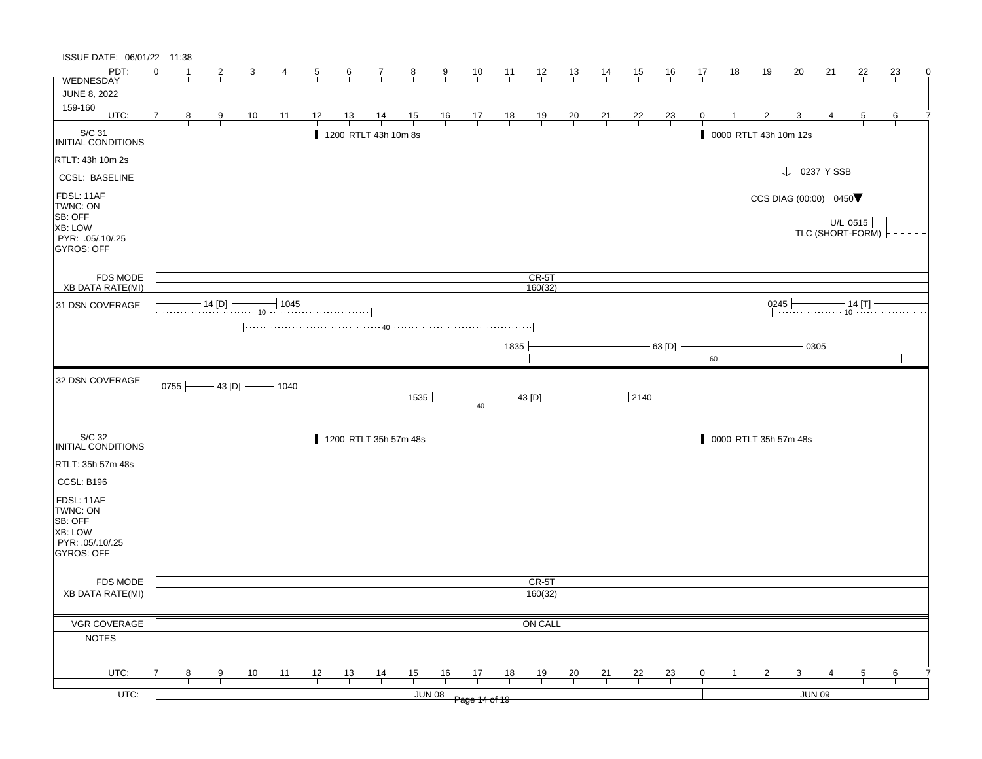| ISSUE DATE: 06/01/22 11:38            |                |   |               |                        |         |    |               |                       |                |               |                |                                                                           |                |                |                |                |                |                |                |                       |                                                                             |           |                     |    |  |
|---------------------------------------|----------------|---|---------------|------------------------|---------|----|---------------|-----------------------|----------------|---------------|----------------|---------------------------------------------------------------------------|----------------|----------------|----------------|----------------|----------------|----------------|----------------|-----------------------|-----------------------------------------------------------------------------|-----------|---------------------|----|--|
| PDT:<br><b>WEDNESDAY</b>              | $\Omega$       |   | $\mathbf{z}$  |                        |         |    | $\frac{6}{ }$ |                       | $\frac{8}{1}$  | $\frac{9}{ }$ | $\frac{10}{ }$ | $\frac{11}{2}$                                                            | $\frac{12}{ }$ | $\frac{13}{1}$ | $\frac{14}{ }$ | $\frac{15}{1}$ | $\frac{16}{1}$ | 17             | $\frac{18}{1}$ | <u> 19</u>            | 20                                                                          | <u>21</u> | 22                  | 23 |  |
| <b>JUNE 8, 2022</b>                   |                |   |               |                        |         |    |               |                       |                |               |                |                                                                           |                |                |                |                |                |                |                |                       |                                                                             |           |                     |    |  |
| 159-160                               |                |   |               |                        |         |    |               |                       |                |               |                |                                                                           |                |                |                |                |                |                |                |                       |                                                                             |           |                     |    |  |
| UTC:                                  | $\overline{7}$ | 8 | 9             | $\frac{10}{1}$         | $-11$   | 12 | 13            | $\frac{14}{1}$        | $\frac{15}{1}$ |               |                | $\begin{array}{ccccccccc}\n16 & 17 & 18 & 19 & 20 \\ \hline\n\end{array}$ |                |                | $\frac{21}{1}$ | $\frac{22}{1}$ | $\frac{23}{1}$ | $\overline{0}$ | $\frac{1}{1}$  | $\frac{2}{1}$         | $\frac{3}{ }$                                                               | 4         | $\overline{5}$      | 6  |  |
| S/C 31<br>INITIAL CONDITIONS          |                |   |               |                        |         |    |               | 1200 RTLT 43h 10m 8s  |                |               |                |                                                                           |                |                |                |                |                |                |                | 0000 RTLT 43h 10m 12s |                                                                             |           |                     |    |  |
| RTLT: 43h 10m 2s                      |                |   |               |                        |         |    |               |                       |                |               |                |                                                                           |                |                |                |                |                |                |                |                       |                                                                             |           |                     |    |  |
| <b>CCSL: BASELINE</b>                 |                |   |               |                        |         |    |               |                       |                |               |                |                                                                           |                |                |                |                |                |                |                |                       | $\downarrow$ 0237 Y SSB                                                     |           |                     |    |  |
| FDSL: 11AF<br>TWNC: ON                |                |   |               |                        |         |    |               |                       |                |               |                |                                                                           |                |                |                |                |                |                |                |                       | CCS DIAG (00:00) 0450                                                       |           |                     |    |  |
| SB: OFF<br>XB: LOW                    |                |   |               |                        |         |    |               |                       |                |               |                |                                                                           |                |                |                |                |                |                |                |                       |                                                                             |           | U/L 0515 $\vdash$ - |    |  |
| PYR: .05/.10/.25<br><b>GYROS: OFF</b> |                |   |               |                        |         |    |               |                       |                |               |                |                                                                           |                |                |                |                |                |                |                |                       |                                                                             |           | TLC (SHORT-FORM)    |    |  |
| <b>FDS MODE</b>                       |                |   |               |                        |         |    |               |                       |                |               |                |                                                                           | $CR-5T$        |                |                |                |                |                |                |                       |                                                                             |           |                     |    |  |
| <b>XB DATA RATE(MI)</b>               |                |   |               |                        |         |    |               |                       |                |               |                |                                                                           | 160(32)        |                |                |                |                |                |                |                       |                                                                             |           |                     |    |  |
| 31 DSN COVERAGE                       |                |   | $-14$ [D] $-$ |                        | $-1045$ |    |               |                       |                |               |                |                                                                           |                |                |                |                |                |                |                |                       | $0245$ $\leftarrow$<br>245 $\longleftarrow$ 14 [T] $\overline{\phantom{0}}$ |           |                     |    |  |
|                                       |                |   |               |                        |         |    |               |                       |                |               |                |                                                                           |                |                |                |                |                |                |                |                       |                                                                             |           |                     |    |  |
|                                       |                |   |               |                        |         |    |               |                       |                |               |                | 1835                                                                      |                |                |                |                | $-$ 63 [D] $-$ |                |                |                       | $+0305$                                                                     |           |                     |    |  |
| 32 DSN COVERAGE                       |                |   |               | 0755 $-43$ [D] $-1040$ |         |    |               |                       |                |               |                |                                                                           |                |                |                |                |                |                |                |                       |                                                                             |           |                     |    |  |
|                                       |                |   |               |                        |         |    |               |                       |                |               |                |                                                                           |                |                |                |                |                |                |                |                       |                                                                             |           |                     |    |  |
| S/C 32<br>INITIAL CONDITIONS          |                |   |               |                        |         |    |               | 1200 RTLT 35h 57m 48s |                |               |                |                                                                           |                |                |                |                |                |                |                | 0000 RTLT 35h 57m 48s |                                                                             |           |                     |    |  |
| RTLT: 35h 57m 48s                     |                |   |               |                        |         |    |               |                       |                |               |                |                                                                           |                |                |                |                |                |                |                |                       |                                                                             |           |                     |    |  |
| CCSL: B196                            |                |   |               |                        |         |    |               |                       |                |               |                |                                                                           |                |                |                |                |                |                |                |                       |                                                                             |           |                     |    |  |
| FDSL: 11AF                            |                |   |               |                        |         |    |               |                       |                |               |                |                                                                           |                |                |                |                |                |                |                |                       |                                                                             |           |                     |    |  |
| TWNC: ON                              |                |   |               |                        |         |    |               |                       |                |               |                |                                                                           |                |                |                |                |                |                |                |                       |                                                                             |           |                     |    |  |
| SB: OFF<br>XB: LOW                    |                |   |               |                        |         |    |               |                       |                |               |                |                                                                           |                |                |                |                |                |                |                |                       |                                                                             |           |                     |    |  |
| PYR: .05/.10/.25                      |                |   |               |                        |         |    |               |                       |                |               |                |                                                                           |                |                |                |                |                |                |                |                       |                                                                             |           |                     |    |  |
| <b>GYROS: OFF</b>                     |                |   |               |                        |         |    |               |                       |                |               |                |                                                                           |                |                |                |                |                |                |                |                       |                                                                             |           |                     |    |  |
| <b>FDS MODE</b>                       |                |   |               |                        |         |    |               |                       |                |               |                |                                                                           | CR-5T          |                |                |                |                |                |                |                       |                                                                             |           |                     |    |  |
| <b>XB DATA RATE(MI)</b>               |                |   |               |                        |         |    |               |                       |                |               |                |                                                                           | 160(32)        |                |                |                |                |                |                |                       |                                                                             |           |                     |    |  |
|                                       |                |   |               |                        |         |    |               |                       |                |               |                |                                                                           |                |                |                |                |                |                |                |                       |                                                                             |           |                     |    |  |
| VGR COVERAGE                          |                |   |               |                        |         |    |               |                       |                |               |                |                                                                           | <b>ON CALL</b> |                |                |                |                |                |                |                       |                                                                             |           |                     |    |  |
| <b>NOTES</b>                          |                |   |               |                        |         |    |               |                       |                |               |                |                                                                           |                |                |                |                |                |                |                |                       |                                                                             |           |                     |    |  |
| UTC:                                  |                | 8 | 9             | 10                     | 11      | 12 | 13            | $\frac{14}{1}$        | 15             | 16            | 17             | 18                                                                        | 19             | 20             | 21             | 22             | 23             | $\mathbf{0}$   |                | $\mathbf{z}$          | 3                                                                           |           | 5                   | 6  |  |
|                                       |                |   |               |                        |         |    |               |                       |                |               |                |                                                                           |                |                |                |                |                |                |                |                       |                                                                             |           |                     |    |  |
| UTC:                                  |                |   |               |                        |         |    |               |                       |                | <b>JUN 08</b> | Page 14 of 19  |                                                                           |                |                |                |                |                |                |                |                       | <b>JUN 09</b>                                                               |           |                     |    |  |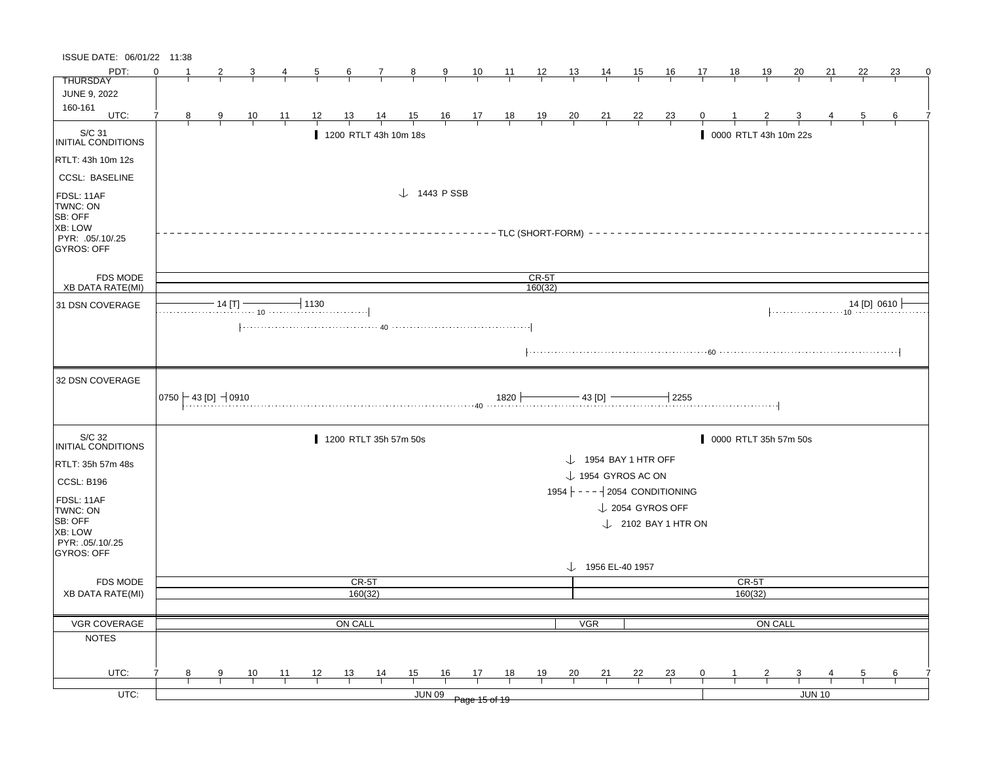| ISSUE DATE: 06/01/22 11:38                                                                   |          |   |                                                   |                |                |                  |                |                |                        |               |               |                         |         |                |                                 |    |                                                    |                |    |                       |                         |                                                                                                           |             |    |
|----------------------------------------------------------------------------------------------|----------|---|---------------------------------------------------|----------------|----------------|------------------|----------------|----------------|------------------------|---------------|---------------|-------------------------|---------|----------------|---------------------------------|----|----------------------------------------------------|----------------|----|-----------------------|-------------------------|-----------------------------------------------------------------------------------------------------------|-------------|----|
| PDT:                                                                                         | $\Omega$ |   |                                                   | 3              | 4              |                  | $\frac{6}{6}$  | $\frac{7}{ }$  | $\frac{8}{1}$          | $\frac{9}{1}$ |               | $\frac{10}{1}$ 11 12 13 |         |                | $\frac{14}{1}$                  | 15 | <u>16</u>                                          | 17             | 18 | 19                    | 20                      | 21                                                                                                        | 22          | 23 |
| <b>THURSDAY</b>                                                                              |          |   |                                                   |                |                |                  |                |                |                        |               |               |                         |         |                |                                 |    |                                                    |                |    |                       |                         |                                                                                                           |             |    |
| <b>JUNE 9, 2022</b>                                                                          |          |   |                                                   |                |                |                  |                |                |                        |               |               |                         |         |                |                                 |    |                                                    |                |    |                       |                         |                                                                                                           |             |    |
| 160-161<br>UTC:                                                                              | 7        | 8 |                                                   |                |                | 12               |                |                |                        |               |               |                         |         |                |                                 |    |                                                    | $\overline{0}$ |    |                       |                         |                                                                                                           |             | 6  |
|                                                                                              |          |   | $\frac{9}{1}$                                     | $\frac{10}{1}$ | $\frac{11}{1}$ |                  | $\frac{13}{ }$ |                | 14 15 16 17 18 19 20   |               |               |                         |         |                | $\frac{21}{1}$ $\frac{22}{1}$   |    | $\frac{23}{1}$                                     |                |    | $\frac{2}{1}$         |                         |                                                                                                           |             |    |
| S/C 31<br>INITIAL CONDITIONS                                                                 |          |   |                                                   |                |                |                  |                |                | 1200 RTLT 43h 10m 18s  |               |               |                         |         |                |                                 |    |                                                    |                |    | 0000 RTLT 43h 10m 22s |                         |                                                                                                           |             |    |
| RTLT: 43h 10m 12s                                                                            |          |   |                                                   |                |                |                  |                |                |                        |               |               |                         |         |                |                                 |    |                                                    |                |    |                       |                         |                                                                                                           |             |    |
| <b>CCSL: BASELINE</b>                                                                        |          |   |                                                   |                |                |                  |                |                |                        |               |               |                         |         |                |                                 |    |                                                    |                |    |                       |                         |                                                                                                           |             |    |
| FDSL: 11AF<br>TWNC: ON<br><b>SB: OFF</b><br>XB: LOW<br>PYR: .05/.10/.25<br><b>GYROS: OFF</b> |          |   |                                                   |                |                |                  |                |                | $\downarrow$ 1443 PSSB |               |               |                         |         |                |                                 |    | ----------TLC (SHORT-FORM) ----------------------- |                |    |                       |                         |                                                                                                           |             |    |
| <b>FDS MODE</b>                                                                              |          |   |                                                   |                |                |                  |                |                |                        |               |               |                         | $CR-5T$ |                |                                 |    |                                                    |                |    |                       |                         |                                                                                                           |             |    |
| XB DATA RATE(MI)                                                                             |          |   |                                                   |                |                |                  |                |                |                        |               |               |                         | 160(32) |                |                                 |    |                                                    |                |    |                       |                         |                                                                                                           |             |    |
| 31 DSN COVERAGE                                                                              |          |   | $-14$ [T] $-$                                     |                |                | $-1130$          |                |                |                        |               |               |                         |         |                |                                 |    |                                                    |                |    |                       |                         | $  \cdots \cdots \cdots \cdots \cdots \cdots \cdot 10 \cdots \cdots \cdots \cdots \cdots \cdots \cdots  $ | 14 [D] 0610 |    |
| 32 DSN COVERAGE                                                                              |          |   | $\vert$ 0750 $\vert$ – 43 [D] $\,$ – $\vert$ 0910 |                |                | $1820$ $-43$ [D] |                |                |                        |               |               |                         |         |                |                                 |    | $\overline{1}$ 2255                                |                |    |                       |                         |                                                                                                           |             |    |
| S/C 32<br>INITIAL CONDITIONS                                                                 |          |   |                                                   |                |                |                  |                |                | 1200 RTLT 35h 57m 50s  |               |               |                         |         |                |                                 |    |                                                    |                |    | 0000 RTLT 35h 57m 50s |                         |                                                                                                           |             |    |
|                                                                                              |          |   |                                                   |                |                |                  |                |                |                        |               |               |                         |         |                | $\downarrow$ 1954 BAY 1 HTR OFF |    |                                                    |                |    |                       |                         |                                                                                                           |             |    |
| RTLT: 35h 57m 48s                                                                            |          |   |                                                   |                |                |                  |                |                |                        |               |               |                         |         |                | $\downarrow$ 1954 GYROS AC ON   |    |                                                    |                |    |                       |                         |                                                                                                           |             |    |
| CCSL: B196                                                                                   |          |   |                                                   |                |                |                  |                |                |                        |               |               |                         |         |                |                                 |    | 1954 $ - - -   2054$ CONDITIONING                  |                |    |                       |                         |                                                                                                           |             |    |
| FDSL: 11AF                                                                                   |          |   |                                                   |                |                |                  |                |                |                        |               |               |                         |         |                |                                 |    |                                                    |                |    |                       |                         |                                                                                                           |             |    |
| TWNC: ON                                                                                     |          |   |                                                   |                |                |                  |                |                |                        |               |               |                         |         |                |                                 |    | $\downarrow$ 2054 GYROS OFF                        |                |    |                       |                         |                                                                                                           |             |    |
| SB: OFF<br>XB: LOW<br>PYR: 05/10/25<br>GYROS: OFF                                            |          |   |                                                   |                |                |                  |                |                |                        |               |               |                         |         |                |                                 |    | $\downarrow$ 2102 BAY 1 HTR ON                     |                |    |                       |                         |                                                                                                           |             |    |
|                                                                                              |          |   |                                                   |                |                |                  |                |                |                        |               |               |                         |         |                | $\downarrow$ 1956 EL-40 1957    |    |                                                    |                |    |                       |                         |                                                                                                           |             |    |
| <b>FDS MODE</b>                                                                              |          |   |                                                   |                |                |                  |                | CR-5T          |                        |               |               |                         |         |                |                                 |    |                                                    |                |    | CR-5T                 |                         |                                                                                                           |             |    |
| <b>XB DATA RATE(MI)</b>                                                                      |          |   |                                                   |                |                |                  |                | 160(32)        |                        |               |               |                         |         |                |                                 |    |                                                    |                |    | 160(32)               |                         |                                                                                                           |             |    |
|                                                                                              |          |   |                                                   |                |                |                  |                |                |                        |               |               |                         |         |                |                                 |    |                                                    |                |    |                       |                         |                                                                                                           |             |    |
| <b>VGR COVERAGE</b>                                                                          |          |   |                                                   |                |                |                  | ON CALL        |                |                        |               |               |                         |         |                | <b>VGR</b>                      |    |                                                    |                |    | ON CALL               |                         |                                                                                                           |             |    |
| <b>NOTES</b>                                                                                 |          |   |                                                   |                |                |                  |                |                |                        |               |               |                         |         |                |                                 |    |                                                    |                |    |                       |                         |                                                                                                           |             |    |
|                                                                                              |          |   |                                                   |                |                |                  |                |                |                        |               |               |                         |         |                |                                 |    |                                                    |                |    |                       |                         |                                                                                                           |             |    |
| UTC:                                                                                         |          | 8 | 9                                                 | 10             | 11             | 12               | 13             | $\frac{14}{1}$ | 15                     | 16            | 17            | 18                      | 19      | $\frac{20}{1}$ | 21                              | 22 | <b>23</b>                                          | 0              |    | 2                     | $\overline{\mathbf{3}}$ |                                                                                                           | 5           | 6  |
| UTC:                                                                                         |          |   |                                                   |                |                |                  |                |                |                        | <b>JUN 09</b> | Page 15 of 19 |                         |         |                |                                 |    |                                                    |                |    |                       |                         | <b>JUN 10</b>                                                                                             |             |    |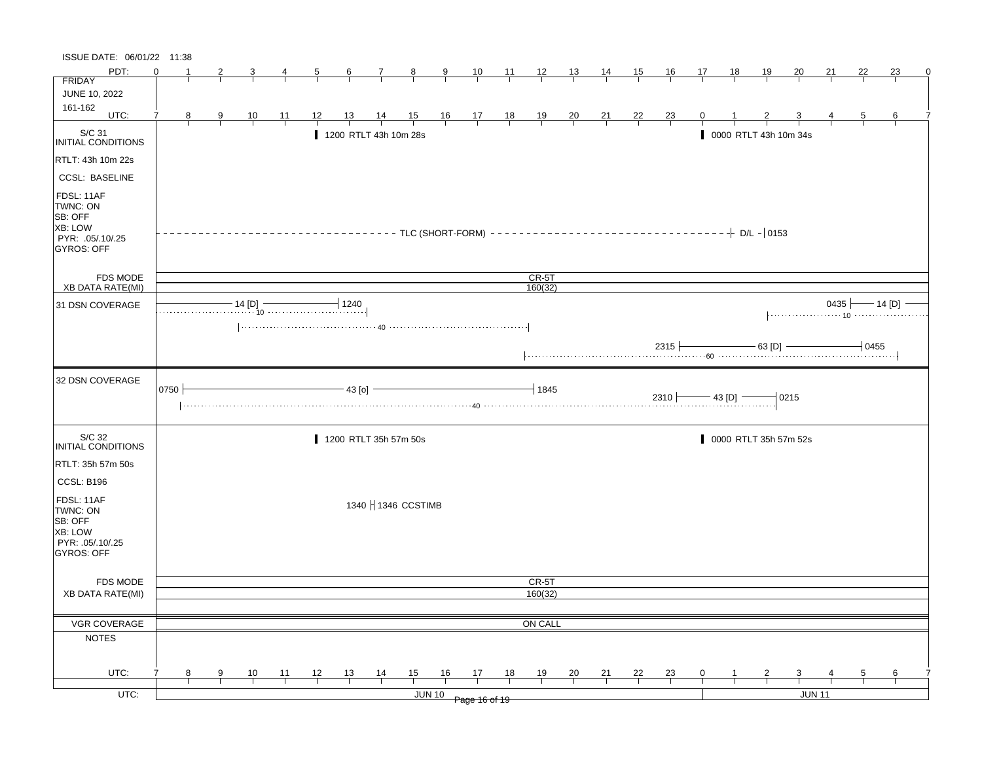| ISSUE DATE: 06/01/22 11:38                                                            |          |                |               |                                                                                                                                                                                                                                                                                                                                                                                                                                     |                |                     |                |                       |                |               |                                                                      |                                              |                |                |                |                |                |                |                       |                |                |    |                |                                |
|---------------------------------------------------------------------------------------|----------|----------------|---------------|-------------------------------------------------------------------------------------------------------------------------------------------------------------------------------------------------------------------------------------------------------------------------------------------------------------------------------------------------------------------------------------------------------------------------------------|----------------|---------------------|----------------|-----------------------|----------------|---------------|----------------------------------------------------------------------|----------------------------------------------|----------------|----------------|----------------|----------------|----------------|----------------|-----------------------|----------------|----------------|----|----------------|--------------------------------|
| PDT:                                                                                  | $\Omega$ |                |               |                                                                                                                                                                                                                                                                                                                                                                                                                                     |                | $\overline{\sigma}$ | 6              | $\frac{7}{1}$         | $\frac{8}{1}$  | $\frac{9}{1}$ |                                                                      | $\frac{10}{1}$ $\frac{11}{1}$ $\frac{12}{1}$ |                | $\frac{13}{ }$ | $\frac{14}{1}$ | $\frac{15}{1}$ | $\frac{16}{1}$ | $\frac{17}{1}$ | $\frac{18}{1}$        | <u>19</u>      | $\frac{20}{ }$ | 21 | 22             | 23                             |
| <b>FRIDAY</b>                                                                         |          |                |               |                                                                                                                                                                                                                                                                                                                                                                                                                                     |                |                     |                |                       |                |               |                                                                      |                                              |                |                |                |                |                |                |                       |                |                |    |                |                                |
| JUNE 10, 2022<br>161-162                                                              |          |                |               |                                                                                                                                                                                                                                                                                                                                                                                                                                     |                |                     |                |                       |                |               |                                                                      |                                              |                |                |                |                |                |                |                       |                |                |    |                |                                |
| UTC:                                                                                  | 7        | 8 <sub>1</sub> | $\frac{9}{1}$ | $\frac{10}{ }$                                                                                                                                                                                                                                                                                                                                                                                                                      | $\frac{11}{1}$ | <u>12</u>           | $\frac{13}{2}$ | $\frac{14}{1}$        |                |               | $\begin{array}{ccccccccc}\n15 & 16 & 17 & 18 \\ \hline\n\end{array}$ |                                              | $\frac{19}{1}$ | $\frac{20}{}$  | $\frac{21}{1}$ | $\frac{22}{1}$ | $\frac{23}{}$  |                |                       |                |                |    | $\overline{5}$ |                                |
| S/C 31<br>INITIAL CONDITIONS                                                          |          |                |               |                                                                                                                                                                                                                                                                                                                                                                                                                                     |                |                     |                | 1200 RTLT 43h 10m 28s |                |               |                                                                      |                                              |                |                |                |                |                |                | 0000 RTLT 43h 10m 34s |                |                |    |                |                                |
| RTLT: 43h 10m 22s                                                                     |          |                |               |                                                                                                                                                                                                                                                                                                                                                                                                                                     |                |                     |                |                       |                |               |                                                                      |                                              |                |                |                |                |                |                |                       |                |                |    |                |                                |
| <b>CCSL: BASELINE</b>                                                                 |          |                |               |                                                                                                                                                                                                                                                                                                                                                                                                                                     |                |                     |                |                       |                |               |                                                                      |                                              |                |                |                |                |                |                |                       |                |                |    |                |                                |
| FDSL: 11AF<br>TWNC: ON<br>SB: OFF<br>XB: LOW<br>PYR: .05/.10/.25<br><b>GYROS: OFF</b> |          |                |               |                                                                                                                                                                                                                                                                                                                                                                                                                                     |                |                     |                |                       |                |               |                                                                      |                                              |                |                |                |                |                |                |                       |                |                |    |                |                                |
| FDS MODE                                                                              |          |                |               |                                                                                                                                                                                                                                                                                                                                                                                                                                     |                |                     |                |                       |                |               |                                                                      |                                              | $CR-5T$        |                |                |                |                |                |                       |                |                |    |                |                                |
| <b>XB DATA RATE(MI)</b>                                                               |          |                |               |                                                                                                                                                                                                                                                                                                                                                                                                                                     |                |                     |                |                       |                |               |                                                                      |                                              | 160(32)        |                |                |                |                |                |                       |                |                |    |                |                                |
| 31 DSN COVERAGE                                                                       |          |                |               | $\begin{array}{c c c c c c c} \hline \multicolumn{3}{c }{\textbf{14 [D]}} & \multicolumn{3}{c }{\textbf{1240}} \\ \hline \multicolumn{3}{c }{\textbf{14 [D]}} & \multicolumn{3}{c }{\textbf{1240}} \\ \hline \multicolumn{3}{c }{\textbf{1240}} & \multicolumn{3}{c }{\textbf{1240}} \\ \hline \multicolumn{3}{c }{\textbf{1240}} & \multicolumn{3}{c }{\textbf{1240}} \\ \hline \multicolumn{3}{c }{\textbf{1240}} & \multicolumn$ |                |                     |                |                       |                |               |                                                                      |                                              |                |                |                |                |                |                |                       |                |                |    |                | 0435 $\longleftarrow$ 14 [D] - |
|                                                                                       |          |                |               |                                                                                                                                                                                                                                                                                                                                                                                                                                     |                |                     |                |                       |                |               |                                                                      |                                              |                |                |                |                | $2315 +$       |                |                       | $-$ 63 [D] $-$ |                |    | $\dashv$ 0455  |                                |
| 32 DSN COVERAGE                                                                       | 0750     |                |               |                                                                                                                                                                                                                                                                                                                                                                                                                                     |                |                     | $-43$ [o]      | 43 [D]                |                |               |                                                                      |                                              | 1845           |                |                |                |                |                |                       |                | $-0215$        |    |                |                                |
| S/C 32<br><b>INITIAL CONDITIONS</b>                                                   |          |                |               |                                                                                                                                                                                                                                                                                                                                                                                                                                     |                |                     |                | 1200 RTLT 35h 57m 50s |                |               |                                                                      |                                              |                |                |                |                |                |                | 0000 RTLT 35h 57m 52s |                |                |    |                |                                |
| RTLT: 35h 57m 50s<br>CCSL: B196                                                       |          |                |               |                                                                                                                                                                                                                                                                                                                                                                                                                                     |                |                     |                |                       |                |               |                                                                      |                                              |                |                |                |                |                |                |                       |                |                |    |                |                                |
| FDSL: 11AF<br>TWNC: ON<br>SB: OFF<br>XB: LOW<br>PYR: .05/.10/.25<br>GYROS: OFF        |          |                |               |                                                                                                                                                                                                                                                                                                                                                                                                                                     |                |                     |                | 1340   1346 CCSTIMB   |                |               |                                                                      |                                              |                |                |                |                |                |                |                       |                |                |    |                |                                |
| <b>FDS MODE</b>                                                                       |          |                |               |                                                                                                                                                                                                                                                                                                                                                                                                                                     |                |                     |                |                       |                |               |                                                                      |                                              | CR-5T          |                |                |                |                |                |                       |                |                |    |                |                                |
| <b>XB DATA RATE(MI)</b>                                                               |          |                |               |                                                                                                                                                                                                                                                                                                                                                                                                                                     |                |                     |                |                       |                |               |                                                                      |                                              | 160(32)        |                |                |                |                |                |                       |                |                |    |                |                                |
|                                                                                       |          |                |               |                                                                                                                                                                                                                                                                                                                                                                                                                                     |                |                     |                |                       |                |               |                                                                      |                                              |                |                |                |                |                |                |                       |                |                |    |                |                                |
| <b>VGR COVERAGE</b>                                                                   |          |                |               |                                                                                                                                                                                                                                                                                                                                                                                                                                     |                |                     |                |                       |                |               |                                                                      |                                              | ON CALL        |                |                |                |                |                |                       |                |                |    |                |                                |
| <b>NOTES</b>                                                                          |          |                |               |                                                                                                                                                                                                                                                                                                                                                                                                                                     |                |                     |                |                       |                |               |                                                                      |                                              |                |                |                |                |                |                |                       |                |                |    |                |                                |
|                                                                                       |          |                |               |                                                                                                                                                                                                                                                                                                                                                                                                                                     |                |                     |                |                       |                |               |                                                                      |                                              |                |                |                |                |                |                |                       |                |                |    |                |                                |
| UTC:                                                                                  |          | 8              | 9             | $\frac{10}{1}$                                                                                                                                                                                                                                                                                                                                                                                                                      | $\frac{11}{1}$ | 12                  | $\frac{13}{ }$ | $\frac{14}{1}$        | $\frac{15}{1}$ | 16            | 17                                                                   | <u>18</u>                                    | $\frac{19}{1}$ | $\frac{20}{1}$ | $\frac{21}{1}$ | $\frac{22}{1}$ | $\frac{23}{ }$ | $\mathbf{0}$   |                       |                |                |    | $\frac{5}{ }$  | $\frac{6}{1}$                  |
| $UTC$ :                                                                               |          |                |               |                                                                                                                                                                                                                                                                                                                                                                                                                                     |                |                     |                |                       |                | <b>JUN 10</b> | Page 16 of 19                                                        |                                              |                |                |                |                |                |                |                       |                | <b>JUN 11</b>  |    |                |                                |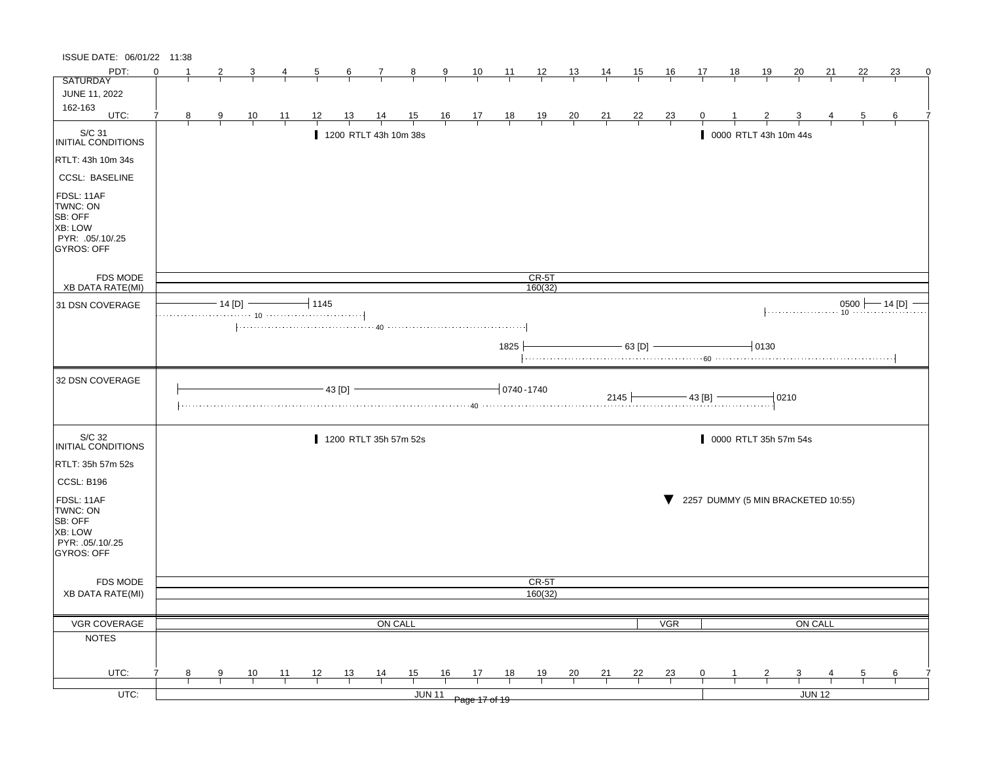| ISSUE DATE: 06/01/22 11:38                                                            |          |   |                         |                |                |                |                  |                       |                |                         |                               |                 |                  |                |                |                |                |                |           |                                    |         |         |                |                       |
|---------------------------------------------------------------------------------------|----------|---|-------------------------|----------------|----------------|----------------|------------------|-----------------------|----------------|-------------------------|-------------------------------|-----------------|------------------|----------------|----------------|----------------|----------------|----------------|-----------|------------------------------------|---------|---------|----------------|-----------------------|
| PDT:                                                                                  | $\Omega$ |   |                         |                |                | $\overline{b}$ | $6 \overline{6}$ | $\mathcal{I}$         | $\frac{8}{ }$  | $\overline{\mathbf{a}}$ | $\frac{10}{1}$                | $\frac{11}{1}$  | $\frac{12}{1}$   | $\frac{13}{2}$ | <u>14</u>      | <u>15</u>      | 16             | 17             | <u>18</u> | <u> 19</u>                         | 20      | 21      | 22             | 23                    |
| <b>SATURDAY</b>                                                                       |          |   |                         |                |                |                |                  |                       |                |                         |                               |                 |                  |                |                |                |                |                |           |                                    |         |         |                |                       |
| JUNE 11, 2022                                                                         |          |   |                         |                |                |                |                  |                       |                |                         |                               |                 |                  |                |                |                |                |                |           |                                    |         |         |                |                       |
| 162-163<br>UTC:                                                                       | 7        | 8 | $\overline{\mathbf{g}}$ | $\frac{10}{1}$ | <u> 11</u>     | <u> 12 </u>    | <u> 13 </u>      | $\frac{14}{1}$        | $\frac{15}{1}$ |                         | $\frac{16}{1}$ $\frac{17}{1}$ | $\frac{18}{1}$  | $\frac{19}{1}$   | $\frac{20}{}$  | $\frac{21}{}$  | $\frac{22}{1}$ | $\frac{23}{1}$ |                |           |                                    |         |         | $\overline{5}$ | 6                     |
| S/C 31<br>INITIAL CONDITIONS                                                          |          |   |                         |                |                |                |                  | 1200 RTLT 43h 10m 38s |                |                         |                               |                 |                  |                |                |                |                |                |           | 0000 RTLT 43h 10m 44s              |         |         |                |                       |
| RTLT: 43h 10m 34s                                                                     |          |   |                         |                |                |                |                  |                       |                |                         |                               |                 |                  |                |                |                |                |                |           |                                    |         |         |                |                       |
| <b>CCSL: BASELINE</b>                                                                 |          |   |                         |                |                |                |                  |                       |                |                         |                               |                 |                  |                |                |                |                |                |           |                                    |         |         |                |                       |
| FDSL: 11AF<br>TWNC: ON<br>SB: OFF<br>XB: LOW<br>PYR: .05/.10/.25<br><b>GYROS: OFF</b> |          |   |                         |                |                |                |                  |                       |                |                         |                               |                 |                  |                |                |                |                |                |           |                                    |         |         |                |                       |
| FDS MODE                                                                              |          |   |                         |                |                |                |                  |                       |                |                         |                               |                 | $CR-5T$          |                |                |                |                |                |           |                                    |         |         |                |                       |
| <b>XB DATA RATE(MI)</b>                                                               |          |   |                         |                |                |                |                  |                       |                |                         |                               |                 | 160(32)          |                |                |                |                |                |           |                                    |         |         |                |                       |
| 31 DSN COVERAGE                                                                       |          |   |                         | $-14$ [D] $-$  |                | $-11145$       |                  |                       |                |                         |                               |                 |                  |                |                |                |                |                |           |                                    |         |         |                | $0500$ $- 14$ [D] $-$ |
|                                                                                       |          |   |                         |                |                |                |                  |                       |                |                         |                               |                 |                  |                |                |                |                |                |           |                                    |         |         |                |                       |
|                                                                                       |          |   |                         |                |                |                |                  |                       |                |                         |                               | 1825            |                  |                |                | $-$ 63 [D] $-$ |                |                |           | $-0130$                            |         |         |                |                       |
| 32 DSN COVERAGE                                                                       |          |   |                         |                |                |                | 43 [D]           |                       |                |                         |                               | $-10740 - 1740$ |                  |                |                | 2145           |                | $-$ 43 [B] $-$ |           |                                    | $-0210$ |         |                |                       |
| S/C 32<br><b>INITIAL CONDITIONS</b>                                                   |          |   |                         |                |                |                |                  | 1200 RTLT 35h 57m 52s |                |                         |                               |                 |                  |                |                |                |                |                |           | 0000 RTLT 35h 57m 54s              |         |         |                |                       |
| RTLT: 35h 57m 52s                                                                     |          |   |                         |                |                |                |                  |                       |                |                         |                               |                 |                  |                |                |                |                |                |           |                                    |         |         |                |                       |
| CCSL: B196                                                                            |          |   |                         |                |                |                |                  |                       |                |                         |                               |                 |                  |                |                |                |                |                |           |                                    |         |         |                |                       |
| FDSL: 11AF<br>TWNC: ON<br>SB: OFF<br>XB: LOW<br>PYR: .05/.10/.25<br><b>GYROS: OFF</b> |          |   |                         |                |                |                |                  |                       |                |                         |                               |                 |                  |                |                |                |                |                |           | 2257 DUMMY (5 MIN BRACKETED 10:55) |         |         |                |                       |
|                                                                                       |          |   |                         |                |                |                |                  |                       |                |                         |                               |                 |                  |                |                |                |                |                |           |                                    |         |         |                |                       |
| <b>FDS MODE</b><br><b>XB DATA RATE(MI)</b>                                            |          |   |                         |                |                |                |                  |                       |                |                         |                               |                 | CR-5T<br>160(32) |                |                |                |                |                |           |                                    |         |         |                |                       |
|                                                                                       |          |   |                         |                |                |                |                  |                       |                |                         |                               |                 |                  |                |                |                |                |                |           |                                    |         |         |                |                       |
| VGR COVERAGE                                                                          |          |   |                         |                |                |                |                  | ON CALL               |                |                         |                               |                 |                  |                |                |                | <b>VGR</b>     |                |           |                                    |         | ON CALL |                |                       |
| <b>NOTES</b>                                                                          |          |   |                         |                |                |                |                  |                       |                |                         |                               |                 |                  |                |                |                |                |                |           |                                    |         |         |                |                       |
|                                                                                       |          |   |                         |                |                |                |                  |                       |                |                         |                               |                 |                  |                |                |                |                |                |           |                                    |         |         |                |                       |
|                                                                                       |          |   |                         |                |                |                |                  |                       |                |                         |                               |                 |                  |                |                |                |                |                |           |                                    |         |         |                |                       |
| UTC:                                                                                  |          | 8 | 9                       | $\frac{10}{1}$ | $\frac{11}{1}$ | $\frac{12}{ }$ | $\frac{13}{1}$   | $\frac{14}{1}$        | 15             | 16                      | $\frac{17}{1}$                | 18              | $\frac{19}{1}$   | $\frac{20}{}$  | $\frac{21}{1}$ | $\frac{22}{1}$ | $\frac{23}{1}$ | $\mathbf{0}$   |           |                                    |         |         | $\frac{5}{2}$  | $\frac{6}{1}$         |
| $UTC$ :                                                                               |          |   |                         |                |                |                |                  |                       |                | <b>JUN 11</b>           | Page 17 of 19                 |                 |                  |                |                |                |                |                |           |                                    |         | JUN 12  |                |                       |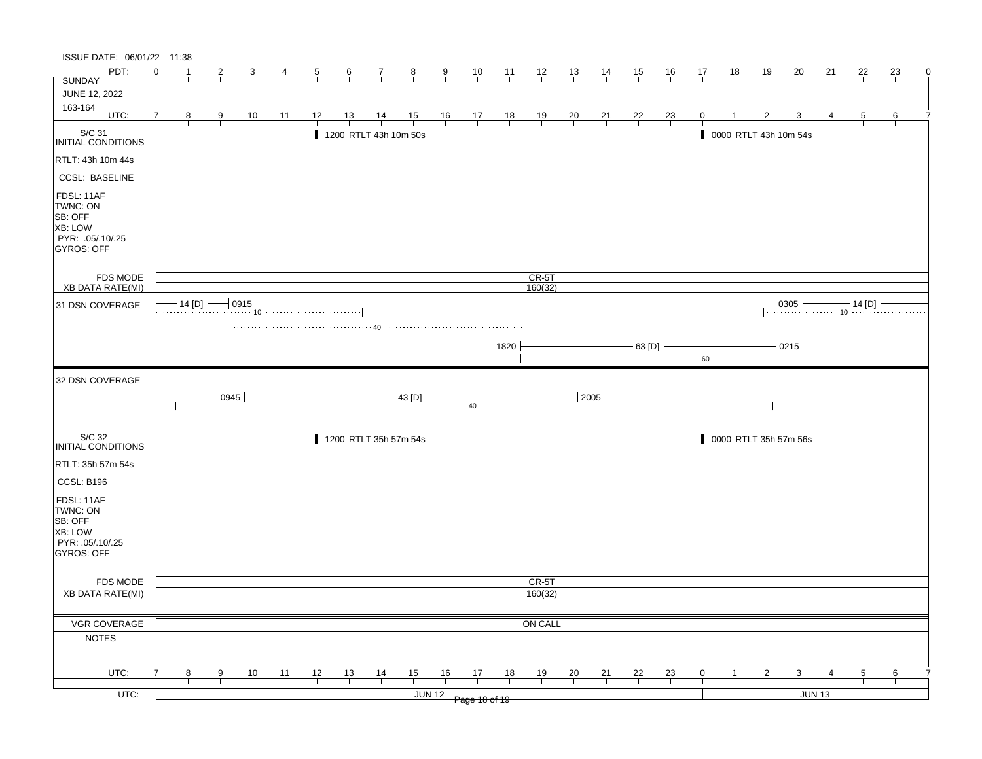| ISSUE DATE: 06/01/22 11:38                                                            |          |               |                |                |                |                |                |                                                                                                                                                                                                                                 |                |               |                                                      |                |                    |                |                |                |                |                |    |                |                                                                      |               |                |    |   |
|---------------------------------------------------------------------------------------|----------|---------------|----------------|----------------|----------------|----------------|----------------|---------------------------------------------------------------------------------------------------------------------------------------------------------------------------------------------------------------------------------|----------------|---------------|------------------------------------------------------|----------------|--------------------|----------------|----------------|----------------|----------------|----------------|----|----------------|----------------------------------------------------------------------|---------------|----------------|----|---|
| PDT:                                                                                  | $\Omega$ | -1            | 2              |                | 4              | $\overline{5}$ | $\frac{6}{ }$  | $\mathcal{I}$                                                                                                                                                                                                                   | $\frac{8}{ }$  | $\frac{9}{2}$ | $\frac{10}{1}$                                       | $\frac{11}{1}$ | $\frac{12}{ }$     | $\frac{13}{2}$ | 14             | 15             | <u>16</u>      | 17             | 18 | <u>19</u>      | 20                                                                   | 21            | 22             | 23 | 0 |
| <b>SUNDAY</b>                                                                         |          |               |                |                |                |                |                |                                                                                                                                                                                                                                 |                |               |                                                      |                |                    |                |                |                |                |                |    |                |                                                                      |               |                |    |   |
| JUNE 12, 2022                                                                         |          |               |                |                |                |                |                |                                                                                                                                                                                                                                 |                |               |                                                      |                |                    |                |                |                |                |                |    |                |                                                                      |               |                |    |   |
| 163-164<br>UTC:                                                                       | 7        | 8             | $\overline{9}$ | $\frac{10}{1}$ | $\frac{11}{1}$ | 12             | <u>13</u>      | $\frac{14}{1}$                                                                                                                                                                                                                  | $\frac{15}{1}$ |               | $\begin{array}{c c}\n16 & 17 \\ \hline\n\end{array}$ | $\frac{18}{1}$ | $\frac{19}{1}$     | $\frac{20}{1}$ | $\frac{21}{1}$ | $\frac{22}{ }$ | $\frac{23}{1}$ |                |    |                |                                                                      |               | $\overline{5}$ | 6  |   |
| S/C 31<br>INITIAL CONDITIONS                                                          |          |               |                |                |                |                |                | 1200 RTLT 43h 10m 50s                                                                                                                                                                                                           |                |               |                                                      |                |                    |                |                |                |                |                |    |                | 0000 RTLT 43h 10m 54s                                                |               |                |    |   |
| RTLT: 43h 10m 44s                                                                     |          |               |                |                |                |                |                |                                                                                                                                                                                                                                 |                |               |                                                      |                |                    |                |                |                |                |                |    |                |                                                                      |               |                |    |   |
| <b>CCSL: BASELINE</b>                                                                 |          |               |                |                |                |                |                |                                                                                                                                                                                                                                 |                |               |                                                      |                |                    |                |                |                |                |                |    |                |                                                                      |               |                |    |   |
| FDSL: 11AF<br>TWNC: ON<br>SB: OFF<br>XB: LOW<br>PYR: .05/.10/.25<br><b>GYROS: OFF</b> |          |               |                |                |                |                |                |                                                                                                                                                                                                                                 |                |               |                                                      |                |                    |                |                |                |                |                |    |                |                                                                      |               |                |    |   |
| FDS MODE<br><b>XB DATA RATE(MI)</b>                                                   |          |               |                |                |                |                |                |                                                                                                                                                                                                                                 |                |               |                                                      |                | $CR-5T$<br>160(32) |                |                |                |                |                |    |                |                                                                      |               |                |    |   |
|                                                                                       |          | $-14$ [D] $-$ |                | $-10915$       |                |                |                |                                                                                                                                                                                                                                 |                |               |                                                      |                |                    |                |                |                |                |                |    |                |                                                                      |               |                |    |   |
| 31 DSN COVERAGE                                                                       |          |               |                |                |                |                |                |                                                                                                                                                                                                                                 |                |               |                                                      |                |                    |                |                |                |                |                |    |                | $\begin{array}{c c c c c} \hline 0305 & 14 [D] & \hline \end{array}$ |               |                |    |   |
|                                                                                       |          |               |                |                |                |                |                |                                                                                                                                                                                                                                 |                |               |                                                      |                |                    |                |                |                |                |                |    |                |                                                                      |               |                |    |   |
|                                                                                       |          |               |                |                |                |                |                |                                                                                                                                                                                                                                 |                |               |                                                      | 1820           |                    |                |                | $-63$ [D] $-$  |                |                |    |                | $-0215$                                                              |               |                |    |   |
| 32 DSN COVERAGE                                                                       |          |               |                |                |                |                |                |                                                                                                                                                                                                                                 |                |               |                                                      |                |                    |                |                |                |                |                |    |                |                                                                      |               |                |    |   |
|                                                                                       |          |               | 0945           |                |                |                |                | العالم عن المستحدث المستحدث المستحدث المستحدث المستحدث المستحدث المستحدث المستحدث المستحدث المستحدث المستخدمات<br>المستخدمات المستخدمات المستخدمات المستخدمات المستخدمات المستخدمات المستخدمات المستخدمات المستخدمات المستخدمات | - 43 [D] -     |               |                                                      |                |                    | $+2005$        |                |                |                |                |    |                |                                                                      |               |                |    |   |
| S/C 32<br>INITIAL CONDITIONS                                                          |          |               |                |                |                |                |                | 1200 RTLT 35h 57m 54s                                                                                                                                                                                                           |                |               |                                                      |                |                    |                |                |                |                |                |    |                | 0000 RTLT 35h 57m 56s                                                |               |                |    |   |
| RTLT: 35h 57m 54s                                                                     |          |               |                |                |                |                |                |                                                                                                                                                                                                                                 |                |               |                                                      |                |                    |                |                |                |                |                |    |                |                                                                      |               |                |    |   |
| CCSL: B196                                                                            |          |               |                |                |                |                |                |                                                                                                                                                                                                                                 |                |               |                                                      |                |                    |                |                |                |                |                |    |                |                                                                      |               |                |    |   |
| FDSL: 11AF<br>TWNC: ON<br>SB: OFF<br>XB: LOW<br>PYR: 05/10/25<br>GYROS: OFF           |          |               |                |                |                |                |                |                                                                                                                                                                                                                                 |                |               |                                                      |                |                    |                |                |                |                |                |    |                |                                                                      |               |                |    |   |
| FDS MODE                                                                              |          |               |                |                |                |                |                |                                                                                                                                                                                                                                 |                |               |                                                      |                | CR-5T              |                |                |                |                |                |    |                |                                                                      |               |                |    |   |
| <b>XB DATA RATE(MI)</b>                                                               |          |               |                |                |                |                |                |                                                                                                                                                                                                                                 |                |               |                                                      |                | 160(32)            |                |                |                |                |                |    |                |                                                                      |               |                |    |   |
|                                                                                       |          |               |                |                |                |                |                |                                                                                                                                                                                                                                 |                |               |                                                      |                |                    |                |                |                |                |                |    |                |                                                                      |               |                |    |   |
| VGR COVERAGE                                                                          |          |               |                |                |                |                |                |                                                                                                                                                                                                                                 |                |               |                                                      |                | ON CALL            |                |                |                |                |                |    |                |                                                                      |               |                |    |   |
| <b>NOTES</b>                                                                          |          |               |                |                |                |                |                |                                                                                                                                                                                                                                 |                |               |                                                      |                |                    |                |                |                |                |                |    |                |                                                                      |               |                |    |   |
| UTC:                                                                                  |          | 8             | $\overline{9}$ | $\frac{10}{1}$ | $\frac{11}{1}$ | $\frac{12}{ }$ | $\frac{13}{ }$ | $\frac{14}{1}$                                                                                                                                                                                                                  | $\frac{15}{1}$ | 16            | $\frac{17}{1}$                                       | 18             | $\frac{19}{1}$     | $\frac{20}{1}$ | $\frac{21}{1}$ | $\frac{22}{1}$ | $\frac{23}{1}$ | $\overline{0}$ |    | $\overline{z}$ | $\overline{\mathbf{3}}$                                              |               | $\overline{5}$ | 6  |   |
|                                                                                       |          |               |                |                |                |                |                |                                                                                                                                                                                                                                 |                |               |                                                      |                |                    |                |                |                |                |                |    |                |                                                                      |               |                |    |   |
| $UTC$ :                                                                               |          |               |                |                |                |                |                |                                                                                                                                                                                                                                 |                |               | JUN 12 Page 18 of 19                                 |                |                    |                |                |                |                |                |    |                |                                                                      | <b>JUN 13</b> |                |    |   |